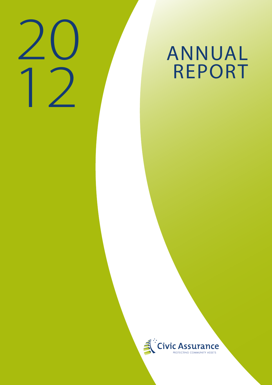

# **ANNUAL<br>REPORT**

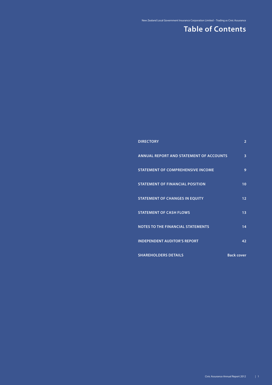# **Table of Contents**

| <b>DIRECTORY</b>                               | $\overline{2}$    |
|------------------------------------------------|-------------------|
| <b>ANNUAL REPORT AND STATEMENT OF ACCOUNTS</b> | 3                 |
| <b>STATEMENT OF COMPREHENSIVE INCOME</b>       | 9                 |
| <b>STATEMENT OF FINANCIAL POSITION</b>         | 10 <sup>1</sup>   |
| <b>STATEMENT OF CHANGES IN EQUITY</b>          | 12 <sup>2</sup>   |
| <b>STATEMENT OF CASH FLOWS</b>                 | 13                |
| <b>NOTES TO THE FINANCIAL STATEMENTS</b>       | 14                |
| <b>INDEPENDENT AUDITOR'S REPORT</b>            | 42                |
| <b>SHAREHOLDERS DETAILS</b>                    | <b>Back cover</b> |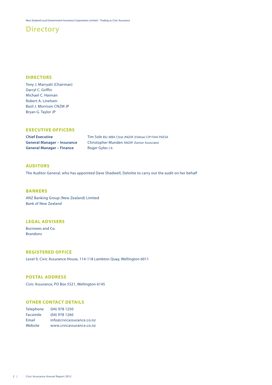## **Directory**

#### **DIRECTORS**

Tony J. Marryatt (Chairman) Darryl C. Griffin Michael C. Hannan Robert A. Lineham Basil J. Morrison CNZM JP Bryan G. Taylor JP

#### **EXECUTIVE OFFICERS**

**General Manager – Finance** Roger Gyles CA

**Chief Executive** Tim Sole BSc MBA CStat ANZIIF (Fellow) CIP FIAA FNZSA **General Manager – Insurance** Christopher Munden ANZIIF (Senior Associate)

#### **AUDITORS**

The Auditor General, who has appointed Dave Shadwell, Deloitte to carry out the audit on her behalf

#### **BANKERS**

ANZ Banking Group (New Zealand) Limited Bank of New Zealand

#### **LEGAL ADVISERS**

Burrowes and Co. Brandons

#### **REGISTERED OFFICE**

Level 9, Civic Assurance House, 114-118 Lambton Quay, Wellington 6011

#### **POSTAL ADDRESS**

Civic Assurance, PO Box 5521, Wellington 6145

#### **OTHER CONTACT DETAILS**

| <b>Telephone</b> | $(04)$ 978 1250           |
|------------------|---------------------------|
| Facsimile        | $(04)$ 978 1260           |
| Email            | info@civicassurance.co.nz |
| Website          | www.civicassurance.co.nz  |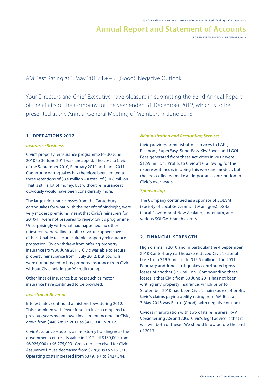**FOR THE YEAR ENDED 31 DECEMBER 2012**

AM Best Rating at 3 May 2013: B++ u (Good), Negative Outlook

Your Directors and Chief Executive have pleasure in submitting the 52nd Annual Report of the affairs of the Company for the year ended 31 December 2012, which is to be presented at the Annual General Meeting of Members in June 2013.

#### **1. OPERATIONS 2012**

#### *Insurance Business*

Civic's property reinsurance programme for 30 June 2010 to 30 June 2011 was uncapped. The cost to Civic of the September 2010, February 2011 and June 2011 Canterbury earthquakes has therefore been limited to three retentions of \$3.6 million – a total of \$10.8 million. That is still a lot of money, but without reinsurance it obviously would have been considerably more.

The large reinsurance losses from the Canterbury earthquakes for what, with the benefit of hindsight, were very modest premiums meant that Civic's reinsurers for 2010-11 were not prepared to renew Civic's programme. Unsurprisingly with what had happened, no other reinsurers were willing to offer Civic uncapped cover either. Unable to secure suitable property reinsurance protection, Civic withdrew from offering property insurance from 30 June 2011. Civic was able to secure property reinsurance from 1 July 2012, but councils were not prepared to buy property insurance from Civic without Civic holding an 'A' credit rating.

Other lines of insurance business such as motor insurance have continued to be provided.

#### *Investment Revenue*

Interest rates continued at historic lows during 2012. This combined with fewer funds to invest compared to previous years meant lower investment income for Civic, down from \$440,289 in 2011 to \$415,930 in 2012.

Civic Assurance House is a nine-storey building near the government centre. Its value in 2012 fell \$150,000 from \$6,925,000 to \$6,775,000. Gross rents received for Civic Assurance House decreased from \$778,609 to \$761,215. Operating costs increased from \$379,197 to \$427,344.

#### *Administration and Accounting Services*

Civic provides administration services to LAPP, Riskpool, SuperEasy, SuperEasy KiwiSaver, and LGOL. Fees generated from these activities in 2012 were \$1.59 million. Profits to Civic after allowing for the expenses it incurs in doing this work are modest, but the fees collected make an important contribution to Civic's overheads.

#### *Sponsorship*

The Company continued as a sponsor of SOLGM (Society of Local Government Managers), LGNZ (Local Government New Zealand), Ingenium, and various SOLGM branch events.

#### **2. FINANCIAL STRENGTH**

High claims in 2010 and in particular the 4 September 2010 Canterbury earthquake reduced Civic's capital base from \$19.5 million to \$15.5 million. The 2011 February and June earthquakes contributed gross losses of another \$7.2 million. Compounding these losses is that Civic from 30 June 2011 has not been writing any property insurance, which prior to September 2010 had been Civic's main source of profit. Civic's claims paying ability rating from AM Best at 3 May 2013 was B++ u (Good), with negative outlook.

Civic is in arbitration with two of its reinsurers: R+V Versicherung AG and AIG. Civic's legal advice is that it will win both of these. We should know before the end of 2013.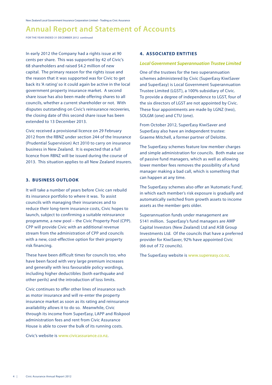**FOR THE YEAR ENDED 31 DECEMBER 2012 continued**

In early 2012 the Company had a rights issue at 90 cents per share. This was supported by 42 of Civic's 68 shareholders and raised \$4.2 million of new capital. The primary reason for the rights issue and the reason that it was supported was for Civic to get back its 'A rating' so it could again be active in the local government property insurance market. A second share issue has also been made offering shares to all councils, whether a current shareholder or not. With disputes outstanding on Civic's reinsurance recoveries, the closing date of this second share issue has been extended to 13 December 2013.

Civic received a provisional licence on 29 February 2012 from the RBNZ under section 244 of the Insurance (Prudential Supervision) Act 2010 to carry on insurance business in New Zealand. It is expected that a full licence from RBNZ will be issued during the course of 2013. This situation applies to all New Zealand insurers.

#### **3. BUSINESS OUTLOOK**

It will take a number of years before Civic can rebuild its insurance portfolio to where it was. To assist councils with managing their insurances and to reduce their long-term insurance costs, Civic hopes to launch, subject to confirming a suitable reinsurance programme, a new pool – the Civic Property Pool (CPP). CPP will provide Civic with an additional revenue stream from the administration of CPP and councils with a new, cost-effective option for their property risk financing.

These have been difficult times for councils too, who have been faced with very large premium increases and generally with less favourable policy wordings, including higher deductibles (both earthquake and other perils) and the introduction of loss limits.

Civic continues to offer other lines of insurance such as motor insurance and will re-enter the property insurance market as soon as its rating and reinsurance availability allows it to do so. Meanwhile, Civic through its income from SuperEasy, LAPP and Riskpool administration fees and rent from Civic Assurance House is able to cover the bulk of its running costs.

Civic's website is www.civicassurance.co.nz.

#### **4. ASSOCIATED ENTITIES**

#### *Local Government Superannuation Trustee Limited*

One of the trustees for the two superannuation schemes administered by Civic (SuperEasy KiwiSaver and SuperEasy) is Local Government Superannuation Trustee Limited (LGST), a 100% subsidiary of Civic. To provide a degree of independence to LGST, four of the six directors of LGST are not appointed by Civic. These four appointments are made by LGNZ (two), SOLGM (one) and CTU (one).

From October 2012, SuperEasy KiwiSaver and SuperEasy also have an independent trustee: Graeme Mitchell, a former partner of Deloitte.

The SuperEasy schemes feature low member charges and simple administration for councils. Both make use of passive fund managers, which as well as allowing lower member fees removes the possibility of a fund manager making a bad call, which is something that can happen at any time.

The SuperEasy schemes also offer an 'Automatic Fund', in which each member's risk exposure is gradually and automatically switched from growth assets to income assets as the member gets older.

Superannuation funds under management are \$141 million. SuperEasy's fund managers are AMP Capital Investors (New Zealand) Ltd and ASB Group Investments Ltd. Of the councils that have a preferred provider for KiwiSaver, 92% have appointed Civic (66 out of 72 councils).

The SuperEasy website is www.supereasy.co.nz.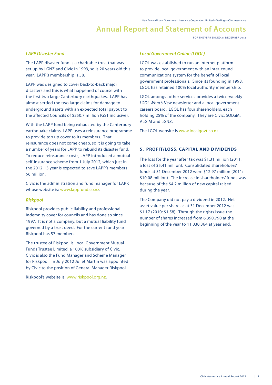**FOR THE YEAR ENDED 31 DECEMBER 2012**

#### *LAPP Disaster Fund*

The LAPP disaster fund is a charitable trust that was set up by LGNZ and Civic in 1993, so is 20 years old this year. LAPP's membership is 58.

LAPP was designed to cover back-to-back major disasters and this is what happened of course with the first two large Canterbury earthquakes. LAPP has almost settled the two large claims for damage to underground assets with an expected total payout to the affected Councils of \$250.7 million (GST inclusive).

With the LAPP fund being exhausted by the Canterbury earthquake claims, LAPP uses a reinsurance programme to provide top up cover to its members. That reinsurance does not come cheap, so it is going to take a number of years for LAPP to rebuild its disaster fund. To reduce reinsurance costs, LAPP introduced a mutual self-insurance scheme from 1 July 2012, which just in the 2012-13 year is expected to save LAPP's members \$6 million.

Civic is the administration and fund manager for LAPP, whose website is: www.lappfund.co.nz.

#### *Riskpool*

Riskpool provides public liability and professional indemnity cover for councils and has done so since 1997. It is not a company, but a mutual liability fund governed by a trust deed. For the current fund year Riskpool has 57 members.

The trustee of Riskpool is Local Government Mutual Funds Trustee Limited, a 100% subsidiary of Civic. Civic is also the Fund Manager and Scheme Manager for Riskpool. In July 2012 Juliet Martin was appointed by Civic to the position of General Manager Riskpool.

Riskpool's website is: www.riskpool.org.nz.

#### *Local Government Online (LGOL)*

LGOL was established to run an internet platform to provide local government with an inter-council communications system for the benefit of local government professionals. Since its founding in 1998, LGOL has retained 100% local authority membership.

LGOL amongst other services provides a twice-weekly *LGOL What's New* newsletter and a local government careers board. LGOL has four shareholders, each holding 25% of the company. They are Civic, SOLGM, ALGIM and LGNZ.

The LGOL website is www.localgovt.co.nz.

#### **5. PROFIT/LOSS, CAPITAL AND DIVIDENDS**

The loss for the year after tax was \$1.31 million (2011: a loss of \$5.41 million). Consolidated shareholders' funds at 31 December 2012 were \$12.97 million (2011: \$10.08 million). The increase in shareholders' funds was because of the \$4.2 million of new capital raised during the year.

The Company did not pay a dividend in 2012. Net asset value per share as at 31 December 2012 was \$1.17 (2010: \$1.58). Through the rights issue the number of shares increased from 6,390,790 at the beginning of the year to 11,030,364 at year end.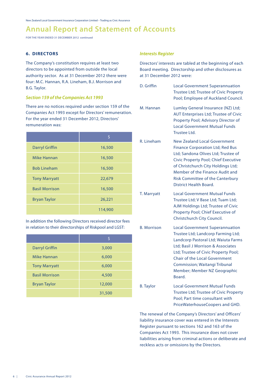**FOR THE YEAR ENDED 31 DECEMBER 2012 continued**

#### **6. DIRECTORS**

The Company's constitution requires at least two directors to be appointed from outside the local authority sector. As at 31 December 2012 there were four: M.C. Hannan, R.A. Lineham, B.J. Morrison and B.G. Taylor.

#### *Section 159 of the Companies Act 1993*

There are no notices required under section 159 of the Companies Act 1993 except for Directors' remuneration. For the year ended 31 December 2012, Directors' remuneration was:

|                       | Ś       |
|-----------------------|---------|
| <b>Darryl Griffin</b> | 16,500  |
| Mike Hannan           | 16,500  |
| <b>Bob Lineham</b>    | 16,500  |
| <b>Tony Marryatt</b>  | 22,679  |
| <b>Basil Morrison</b> | 16,500  |
| <b>Bryan Taylor</b>   | 26,221  |
|                       | 114,900 |

In addition the following Directors received director fees in relation to their directorships of Riskpool and LGST:

|                       | S      |
|-----------------------|--------|
| <b>Darryl Griffin</b> | 3,000  |
| Mike Hannan           | 6,000  |
| <b>Tony Marryatt</b>  | 6,000  |
| <b>Basil Morrison</b> | 4,500  |
| <b>Bryan Taylor</b>   | 12,000 |
|                       | 31,500 |

#### *Interests Register*

Directors' interests are tabled at the beginning of each Board meeting. Directorship and other disclosures as at 31 December 2012 were:

| D. Griffin         | <b>Local Government Superannuation</b><br><b>Trustee Ltd; Trustee of Civic Property</b><br>Pool; Employee of Auckland Council.                                                                                                                                                                                       |
|--------------------|----------------------------------------------------------------------------------------------------------------------------------------------------------------------------------------------------------------------------------------------------------------------------------------------------------------------|
| M. Hannan          | Lumley General Insurance (NZ) Ltd;<br><b>AUT Enterprises Ltd; Trustee of Civic</b><br>Property Pool; Advisory Director of<br><b>Local Government Mutual Funds</b><br>Trustee Ltd.                                                                                                                                    |
| R. Lineham         | <b>New Zealand Local Government</b><br><b>Finance Corporation Ltd; Red Bus</b><br>Ltd; Sandona Olives Ltd; Trustee of<br><b>Civic Property Pool; Chief Executive</b><br>of Christchurch City Holdings Ltd;<br>Member of the Finance Audit and<br><b>Risk Committee of the Canterbury</b><br>District Health Board.   |
| T. Marryatt        | Local Government Mutual Funds<br>Trustee Ltd; V Base Ltd; Tuam Ltd;<br>AJM Holdings Ltd; Trustee of Civic<br>Property Pool; Chief Executive of<br>Christchurch City Council.                                                                                                                                         |
| <b>B. Morrison</b> | <b>Local Government Superannuation</b><br>Trustee Ltd; Landcorp Farming Ltd;<br>Landcorp Pastoral Ltd; Waiuta Farms<br>Ltd; Basil J Morrison & Associates<br>Ltd; Trustee of Civic Property Pool;<br><b>Chair of the Local Government</b><br>Commission; Waitangi Tribunal<br>Member; Member NZ Geographic<br>Board. |
| <b>B.</b> Taylor   | <b>Local Government Mutual Funds</b><br><b>Trustee Ltd; Trustee of Civic Property</b><br>Pool; Part time consultant with<br>PriceWaterhouseCoopers and GHD.                                                                                                                                                          |

The renewal of the Company's Directors' and Officers' liability insurance cover was entered in the Interests Register pursuant to sections 162 and 163 of the Companies Act 1993. This insurance does not cover liabilities arising from criminal actions or deliberate and reckless acts or omissions by the Directors.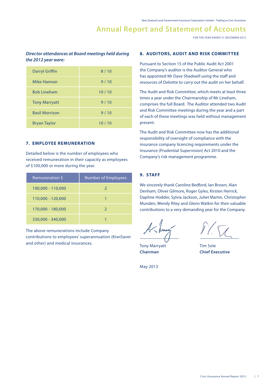**FOR THE YEAR ENDED 31 DECEMBER 2012** 

#### *Director attendances at Board meetings held during the 2012 year were:*

| <b>Darryl Griffin</b> | 8/10  |
|-----------------------|-------|
| Mike Hannan           | 9/10  |
| <b>Bob Lineham</b>    | 10/10 |
| <b>Tony Marryatt</b>  | 9/10  |
| <b>Basil Morrison</b> | 9/10  |
| <b>Bryan Taylor</b>   | 10/10 |

#### **7. EMPLOYEE REMUNERATION**

Detailed below is the number of employees who received remuneration in their capacity as employees of \$100,000 or more during the year.

| Remuneration \$   | <b>Number of Employees</b> |
|-------------------|----------------------------|
| 100,000 - 110,000 | $\mathcal{L}$              |
| 110,000 - 120,000 |                            |
| 170,000 - 180,000 | 2                          |
| 330,000 - 340,000 |                            |

The above remunerations include Company contributions to employees' superannuation (KiwiSaver and other) and medical insurances.

#### **8. AUDITORS, AUDIT AND RISK COMMITTEE**

Pursuant to Section 15 of the Public Audit Act 2001 the Company's auditor is the Auditor General who has appointed Mr Dave Shadwell using the staff and resources of Deloitte to carry out the audit on her behalf.

The Audit and Risk Committee, which meets at least three times a year under the Chairmanship of Mr Lineham, comprises the full Board. The Auditor attended two Audit and Risk Committee meetings during the year and a part of each of these meetings was held without management present.

The Audit and Risk Committee now has the additional responsibility of oversight of compliance with the insurance company licencing requirements under the Insurance (Prudential Supervision) Act 2010 and the Company's risk management programme.

#### **9. STAFF**

We sincerely thank Caroline Bedford, Ian Brown, Alan Denham, Oliver Gilmore, Roger Gyles, Kirsten Herrick, Daphne Hodder, Sylvia Jackson, Juliet Martin, Christopher Munden, Wendy Riley and Glenn Watkin for their valuable contributions to a very demanding year for the Company.

Tony Marryatt Tim Sole **Chairman Chief Executive**

May 2013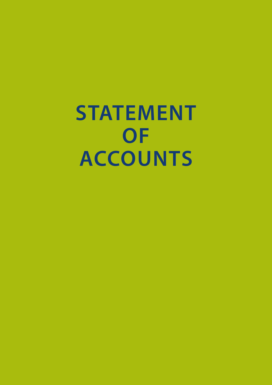**STATEMENT OF ACCOUNTS**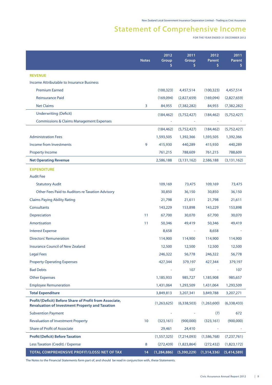# **Statement of Comprehensive Income**

**FOR THE YEAR ENDED 31 DECEMBER 2012**

|                                                                                                                   | <b>Notes</b>    | 2012<br>Group<br>\$ | 2011<br>Group<br>\$      | 2012<br><b>Parent</b><br>\$ | 2011<br>Parent<br>\$. |
|-------------------------------------------------------------------------------------------------------------------|-----------------|---------------------|--------------------------|-----------------------------|-----------------------|
| <b>REVENUE</b>                                                                                                    |                 |                     |                          |                             |                       |
| Income Attributable to Insurance Business                                                                         |                 |                     |                          |                             |                       |
| <b>Premium Earned</b>                                                                                             |                 | (100, 323)          | 4,457,514                | (100, 323)                  | 4,457,514             |
| <b>Reinsurance Paid</b>                                                                                           |                 | (169,094)           | (2,827,659)              | (169,094)                   | (2,827,659)           |
| <b>Net Claims</b>                                                                                                 | 3               | 84,955              | (7, 382, 282)            | 84,955                      | (7, 382, 282)         |
| <b>Underwriting (Deficit)</b>                                                                                     |                 | (184, 462)          | (5,752,427)              | (184, 462)                  | (5,752,427)           |
| <b>Commissions &amp; Claims Management Expenses</b>                                                               |                 |                     |                          |                             |                       |
|                                                                                                                   |                 | (184, 462)          | (5,752,427)              | (184, 462)                  | (5,752,427)           |
| <b>Administration Fees</b>                                                                                        |                 | 1,593,505           | 1,392,366                | 1,593,505                   | 1,392,366             |
| Income from Investments                                                                                           | 9               | 415,930             | 440,289                  | 415,930                     | 440,289               |
| <b>Property Income</b>                                                                                            |                 | 761,215             | 788,609                  | 761,215                     | 788,609               |
| <b>Net Operating Revenue</b>                                                                                      |                 | 2,586,188           | (3, 131, 162)            | 2,586,188                   | (3, 131, 162)         |
| <b>EXPENDITURE</b>                                                                                                |                 |                     |                          |                             |                       |
| <b>Audit Fee</b>                                                                                                  |                 |                     |                          |                             |                       |
| <b>Statutory Audit</b>                                                                                            |                 | 109,169             | 73,475                   | 109,169                     | 73,475                |
| Other Fees Paid to Auditors re Taxation Advisory                                                                  |                 | 30,850              | 36,150                   | 30,850                      | 36,150                |
| <b>Claims Paying Ability Rating</b>                                                                               |                 | 21,798              | 21,611                   | 21,798                      | 21,611                |
| Consultants                                                                                                       |                 | 143,229             | 153,898                  | 143,229                     | 153,898               |
| Depreciation                                                                                                      | 11              | 67,700              | 30,070                   | 67,700                      | 30,070                |
| Amortisation                                                                                                      | 11              | 50,346              | 49,419                   | 50,346                      | 49,419                |
| <b>Interest Expense</b>                                                                                           |                 | 8,658               | $\overline{\phantom{a}}$ | 8,658                       |                       |
| <b>Directors' Remuneration</b>                                                                                    |                 | 114,900             | 114,900                  | 114,900                     | 114,900               |
| <b>Insurance Council of New Zealand</b>                                                                           |                 | 12,500              | 12,500                   | 12,500                      | 12,500                |
| <b>Legal Fees</b>                                                                                                 |                 | 246,322             | 56,778                   | 246,322                     | 56,778                |
| <b>Property Operating Expenses</b>                                                                                |                 | 427,344             | 379,197                  | 427,344                     | 379,197               |
| <b>Bad Debts</b>                                                                                                  |                 |                     | 107                      |                             | 107                   |
| <b>Other Expenses</b>                                                                                             |                 | 1,185,933           | 985,727                  | 1,185,908                   | 985,657               |
| <b>Employee Remuneration</b>                                                                                      |                 | 1,431,064           | 1,293,509                | 1,431,064                   | 1,293,509             |
| <b>Total Expenditure</b>                                                                                          |                 | 3,849,813           | 3,207,341                | 3,849,788                   | 3,207,271             |
| Profit/(Deficit) Before Share of Profit from Associate,<br><b>Revaluation of Investment Property and Taxation</b> |                 | (1,263,625)         | (6,338,503)              | (1,263,600)                 | (6,338,433)           |
| <b>Subvention Payment</b>                                                                                         |                 |                     |                          | (7)                         | 672                   |
| <b>Revaluation of Investment Property</b>                                                                         | 10 <sup>°</sup> | (323, 161)          | (900,000)                | (323, 161)                  | (900,000)             |
| <b>Share of Profit of Associate</b>                                                                               |                 | 29,461              | 24,410                   |                             |                       |
| <b>Profit/(Deficit) Before Taxation</b>                                                                           |                 | (1,557,325)         | (7,214,093)              | (1,586,768)                 | (7, 237, 761)         |
| Less Taxation (Credit) / Expense                                                                                  | 8               | (272, 439)          | (1,823,864)              | (272, 432)                  | (1,823,172)           |
| TOTAL COMPREHENSIVE PROFIT/(LOSS) NET OF TAX                                                                      | 14              | (1, 284, 886)       | (5,390,229)              | (1,314,336)                 | (5,414,589)           |

The Notes to the Financial Statements form part of, and should be read in conjunction with, these Statements.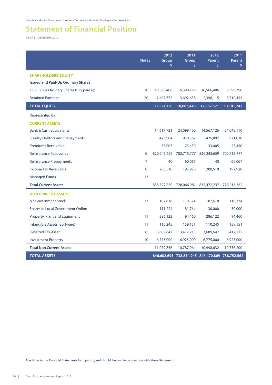# **Statement of Financial Position**

**AS AT 31 DECEMBER 2012**

|                                           | <b>Notes</b>   | 2012<br>Group<br>\$ | 2011<br>Group<br>\$     | 2012<br>Parent<br>\$                            | 2011<br><b>Parent</b><br>\$ |
|-------------------------------------------|----------------|---------------------|-------------------------|-------------------------------------------------|-----------------------------|
| <b>SHAREHOLDERS' EQUITY</b>               |                |                     |                         |                                                 |                             |
| <b>Issued and Paid-Up Ordinary Shares</b> |                |                     |                         |                                                 |                             |
| 11,030,364 Ordinary Shares fully paid up  | 20             | 10,566,406          | 6,390,790               | 10,566,406                                      | 6,390,790                   |
| <b>Retained Earnings</b>                  | 20             | 2,407,772           | 3,692,658               | 2,396,115                                       | 3,710,451                   |
| <b>TOTAL EQUITY</b>                       |                | 12,974,178          | 10,083,448              | 12,962,521                                      | 10,101,241                  |
| <b>Represented By:</b>                    |                |                     |                         |                                                 |                             |
| <b>CURRENT ASSETS</b>                     |                |                     |                         |                                                 |                             |
| <b>Bank &amp; Cash Equivalents</b>        |                | 14,617,721          | 24,099,400              | 14,567,126                                      | 24,048,110                  |
| <b>Sundry Debtors and Prepayments</b>     |                | 425,904             | 970,367                 | 425,897                                         | 971,038                     |
| <b>Premiums Receivable</b>                |                | 33,005              | 23,450                  | 33,005                                          | 23,450                      |
| <b>Reinsurance Recoveries</b>             | 6              | 820,245,659         | 702,715,777             | 820,245,659                                     | 702,715,777                 |
| <b>Reinsurance Prepayments</b>            | $\overline{7}$ | 40                  | 60,067                  | 40                                              | 60,067                      |
| <b>Income Tax Receivable</b>              | 8              | 200,510             | 197,920                 | 200,510                                         | 197,920                     |
| <b>Managed Funds</b>                      | 13             | ä,                  |                         |                                                 |                             |
| <b>Total Current Assets</b>               |                |                     | 835,522,839 728,066,981 | 835,472,237 728,016,362                         |                             |
| <b>NON CURRENT ASSETS</b>                 |                |                     |                         |                                                 |                             |
| NZ Government Stock                       | 13             | 107,618             | 110,374                 | 107,618                                         | 110,374                     |
| <b>Shares in Local Government Online</b>  |                | 111,224             | 81,764                  | 30,000                                          | 30,000                      |
| Property, Plant and Equipment             | 11             | 286,122             | 94,460                  | 286,122                                         | 94,460                      |
| Intangible Assets (Software)              | 11             | 110,245             | 159,151                 | 110,245                                         | 159,151                     |
| <b>Deferred Tax Asset</b>                 | 8              | 3,689,647           | 3,417,215               | 3,689,647                                       | 3,417,215                   |
| <b>Investment Property</b>                | 10             | 6,775,000           | 6,925,000               | 6,775,000                                       | 6,925,000                   |
| <b>Total Non Current Assets</b>           |                | 11,079,856          | 10,787,964              | 10,998,632                                      | 10,736,200                  |
| <b>TOTAL ASSETS</b>                       |                |                     |                         | 846,602,695 738,854,945 846,470,869 738,752,562 |                             |

The Notes to the Financial Statements form part of, and should be read in conjunction with, these Statements.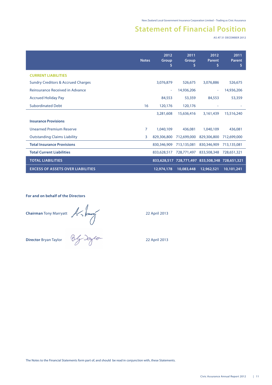## **Statement of Financial Position**

**AS AT 31 DECEMBER 2012**

|                                               | <b>Notes</b> | 2012<br>Group | 2011<br>Group<br>s | 2012<br>Parent<br>S                             | 2011<br>Parent<br>\$ |
|-----------------------------------------------|--------------|---------------|--------------------|-------------------------------------------------|----------------------|
| <b>CURRENT LIABILITIES</b>                    |              |               |                    |                                                 |                      |
| <b>Sundry Creditors &amp; Accrued Charges</b> |              | 3,076,879     | 526,675            | 3,076,886                                       | 526,675              |
| Reinsurance Received in Advance               |              | ٠             | 14,936,206         | ٠                                               | 14,936,206           |
| <b>Accrued Holiday Pay</b>                    |              | 84,553        | 53,359             | 84,553                                          | 53,359               |
| <b>Subordinated Debt</b>                      | 16           | 120,176       | 120,176            |                                                 |                      |
|                                               |              | 3,281,608     | 15,636,416         | 3,161,439                                       | 15,516,240           |
| <b>Insurance Provisions</b>                   |              |               |                    |                                                 |                      |
| <b>Unearned Premium Reserve</b>               | 7            | 1,040,109     | 436,081            | 1.040.109                                       | 436,081              |
| <b>Outstanding Claims Liability</b>           | 3            | 829,306,800   | 712,699,000        | 829,306,800                                     | 712,699,000          |
| <b>Total Insurance Provisions</b>             |              | 830,346,909   | 713,135,081        | 830,346,909                                     | 713,135,081          |
| <b>Total Current Liabilities</b>              |              | 833,628,517   | 728,771,497        | 833,508,348                                     | 728,651,321          |
| <b>TOTAL LIABILITIES</b>                      |              |               |                    | 833,628,517 728,771,497 833,508,348 728,651,321 |                      |
| <b>EXCESS OF ASSETS OVER LIABILITIES</b>      |              | 12,974,178    | 10,083,448         | 12,962,521                                      | 10,101,241           |

**For and on behalf of the Directors**

**Chairman** Tony Marryatt 22 April 2013

**Director** Bryan Taylor 22 April 2013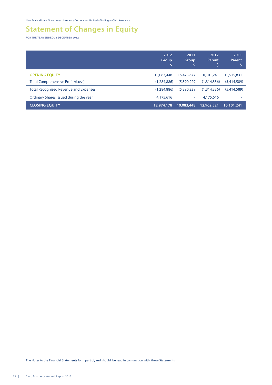# **Statement of Changes in Equity**

**FOR THE YEAR ENDED 31 DECEMBER 2012**

|                                              | 2012<br><b>Group</b><br>IS. | 2011<br>Group | 2012<br>Parent | 2011<br>Parent |
|----------------------------------------------|-----------------------------|---------------|----------------|----------------|
| <b>OPENING EQUITY</b>                        | 10,083,448                  | 15,473,677    | 10,101,241     | 15,515,831     |
| <b>Total Comprehensive Profit/(Loss)</b>     | (1,284,886)                 | (5,390,229)   | (1,314,336)    | (5,414,589)    |
| <b>Total Recognised Revenue and Expenses</b> | (1,284,886)                 | (5,390,229)   | (1,314,336)    | (5,414,589)    |
| Ordinary Shares issued during the year       | 4,175,616                   | ٠             | 4,175,616      | ٠              |
| <b>CLOSING EQUITY</b>                        | 12,974,178                  | 10,083,448    | 12,962,521     | 10,101,241     |

The Notes to the Financial Statements form part of, and should be read in conjunction with, these Statements.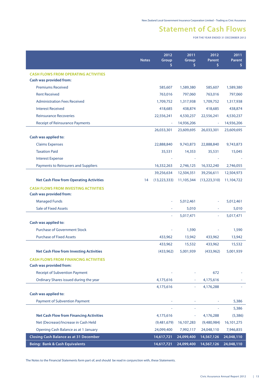# **Statement of Cash Flows**

**FOR THE YEAR ENDED 31 DECEMBER 2012**

|                                                | <b>Notes</b> | 2012<br>Group<br>Ş | 2011<br>Group<br>\$ | 2012<br><b>Parent</b><br>\$ | 2011<br><b>Parent</b><br>\$ |
|------------------------------------------------|--------------|--------------------|---------------------|-----------------------------|-----------------------------|
| <b>CASH FLOWS FROM OPERATING ACTIVITIES</b>    |              |                    |                     |                             |                             |
| Cash was provided from:                        |              |                    |                     |                             |                             |
| <b>Premiums Received</b>                       |              | 585,607            | 1,589,380           | 585,607                     | 1,589,380                   |
| <b>Rent Received</b>                           |              | 763,016            | 797,060             | 763,016                     | 797,060                     |
| <b>Administration Fees Received</b>            |              | 1,709,752          | 1,317,938           | 1,709,752                   | 1,317,938                   |
| <b>Interest Received</b>                       |              | 418,685            | 438,874             | 418,685                     | 438,874                     |
| <b>Reinsurance Recoveries</b>                  |              | 22,556,241         | 4,530,237           | 22,556,241                  | 4,530,237                   |
| <b>Receipt of Reinsurance Payments</b>         |              | ÷                  | 14,936,206          | $\overline{\phantom{a}}$    | 14,936,206                  |
|                                                |              | 26,033,301         | 23,609,695          | 26,033,301                  | 23,609,695                  |
| Cash was applied to:                           |              |                    |                     |                             |                             |
| <b>Claims Expenses</b>                         |              | 22,888,840         | 9,743,873           | 22,888,840                  | 9,743,873                   |
| <b>Taxation Paid</b>                           |              | 35,531             | 14,353              | 35,531                      | 15,045                      |
| <b>Interest Expense</b>                        |              |                    |                     |                             |                             |
| <b>Payments to Reinsurers and Suppliers</b>    |              | 16,332,263         | 2,746,125           | 16,332,240                  | 2,746,055                   |
|                                                |              | 39,256,634         | 12,504,351          | 39,256,611                  | 12,504,973                  |
| <b>Net Cash Flow from Operating Activities</b> | 14           | (13, 223, 333)     | 11,105,344          | (13, 223, 310)              | 11,104,722                  |
| <b>CASH FLOWS FROM INVESTING ACTIVITIES</b>    |              |                    |                     |                             |                             |
| Cash was provided from:                        |              |                    |                     |                             |                             |
| <b>Managed Funds</b>                           |              |                    | 5,012,461           |                             | 5,012,461                   |
| <b>Sale of Fixed Assets</b>                    |              | ٠                  | 5,010               | $\sim$                      | 5,010                       |
|                                                |              |                    | 5,017,471           | ٠                           | 5,017,471                   |
| Cash was applied to:                           |              |                    |                     |                             |                             |
| <b>Purchase of Government Stock</b>            |              |                    | 1,590               |                             | 1,590                       |
| <b>Purchase of Fixed Assets</b>                |              | 433,962            | 13,942              | 433,962                     | 13,942                      |
|                                                |              | 433,962            | 15,532              | 433,962                     | 15,532                      |
| <b>Net Cash Flow from Investing Activities</b> |              | (433,962)          | 5,001,939           | (433,962)                   | 5,001,939                   |
| <b>CASH FLOWS FROM FINANCING ACTIVITIES</b>    |              |                    |                     |                             |                             |
| <b>Cash was provided from:</b>                 |              |                    |                     |                             |                             |
| <b>Receipt of Subvention Payment</b>           |              |                    |                     | 672                         |                             |
| Ordinary Shares issued during the year         |              | 4,175,616          |                     | 4,175,616                   |                             |
|                                                |              | 4,175,616          |                     | 4,176,288                   |                             |
| Cash was applied to:                           |              |                    |                     |                             |                             |
| <b>Payment of Subvention Payment</b>           |              |                    |                     |                             | 5,386                       |
|                                                |              |                    |                     |                             | 5,386                       |
| <b>Net Cash Flow from Financing Activities</b> |              | 4,175,616          |                     | 4,176,288                   | (5,386)                     |
| Net (Decrease)/Increase in Cash Held           |              | (9,481,679)        | 16,107,283          | (9,480,984)                 | 16,101,275                  |
| Opening Cash Balance as at 1 January           |              | 24,099,400         | 7,992,117           | 24,048,110                  | 7,946,835                   |
| <b>Closing Cash Balance as at 31 December</b>  |              | 14,617,721         | 24,099,400          | 14,567,126                  | 24,048,110                  |
| <b>Being: Bank &amp; Cash Equivalents</b>      |              | 14,617,721         | 24,099,400          | 14,567,126                  | 24,048,110                  |

The Notes to the Financial Statements form part of, and should be read in conjunction with, these Statements.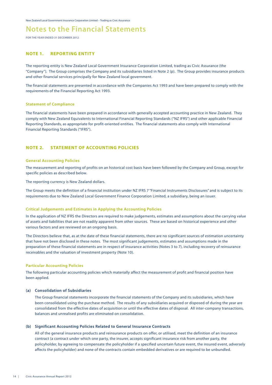**FOR THE YEAR ENDED 31 DECEMBER 2012**

#### **NOTE 1. REPORTING ENTITY**

The reporting entity is New Zealand Local Government Insurance Corporation Limited, trading as Civic Assurance (the "Company"). The Group comprises the Company and its subsidiaries listed in Note 2 (p). The Group provides insurance products and other financial services principally for New Zealand local government.

The financial statements are presented in accordance with the Companies Act 1993 and have been prepared to comply with the requirements of the Financial Reporting Act 1993.

#### **Statement of Compliance**

The financial statements have been prepared in accordance with generally accepted accounting practice in New Zealand. They comply with New Zealand Equivalents to International Financial Reporting Standards ("NZ IFRS") and other applicable Financial Reporting Standards, as appropriate for profit-oriented entities. The financial statements also comply with International Financial Reporting Standards ("IFRS").

#### **NOTE 2. STATEMENT OF ACCOUNTING POLICIES**

#### **General Accounting Policies**

The measurement and reporting of profits on an historical cost basis have been followed by the Company and Group, except for specific policies as described below.

The reporting currency is New Zealand dollars.

The Group meets the definition of a financial institution under NZ IFRS 7 "Financial Instruments Disclosures" and is subject to its requirements due to New Zealand Local Government Finance Corporation Limited, a subsidiary, being an issuer.

#### **Critical Judgements and Estimates in Applying the Accounting Policies**

In the application of NZ IFRS the Directors are required to make judgements, estimates and assumptions about the carrying value of assets and liabilities that are not readily apparent from other sources. These are based on historical experience and other various factors and are reviewed on an ongoing basis.

The Directors believe that, as at the date of these financial statements, there are no significant sources of estimation uncertainty that have not been disclosed in these notes. The most significant judgements, estimates and assumptions made in the preparation of these financial statements are in respect of insurance activities (Notes 3 to 7), including recovery of reinsurance receivables and the valuation of investment property (Note 10).

#### **Particular Accounting Policies**

The following particular accounting policies which materially affect the measurement of profit and financial position have been applied.

#### **(a) Consolidation of Subsidiaries**

The Group financial statements incorporate the financial statements of the Company and its subsidiaries, which have been consolidated using the purchase method. The results of any subsidiaries acquired or disposed of during the year are consolidated from the effective dates of acquisition or until the effective dates of disposal. All inter-company transactions, balances and unrealised profits are eliminated on consolidation.

#### **(b) Significant Accounting Policies Related to General Insurance Contracts**

All of the general insurance products and reinsurance products on offer, or utilised, meet the definition of an insurance contract (a contract under which one party, the insurer, accepts significant insurance risk from another party, the policyholder, by agreeing to compensate the policyholder if a specified uncertain future event, the insured event, adversely affects the policyholder) and none of the contracts contain embedded derivatives or are required to be unbundled.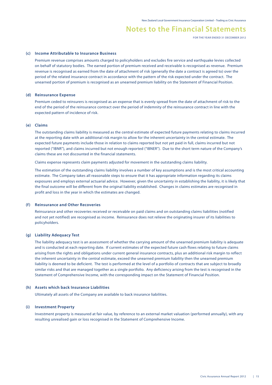**FOR THE YEAR ENDED 31 DECEMBER 2012**

#### **(c) Income Attributable to Insurance Business**

Premium revenue comprises amounts charged to policyholders and excludes fire service and earthquake levies collected on behalf of statutory bodies. The earned portion of premium received and receivable is recognised as revenue. Premium revenue is recognised as earned from the date of attachment of risk (generally the date a contract is agreed to) over the period of the related insurance contract in accordance with the pattern of the risk expected under the contract. The unearned portion of premium is recognised as an unearned premium liability on the Statement of Financial Position.

#### **(d) Reinsurance Expense**

Premium ceded to reinsurers is recognised as an expense that is evenly spread from the date of attachment of risk to the end of the period of the reinsurance contract over the period of indemnity of the reinsurance contract in line with the expected pattern of incidence of risk.

#### **(e) Claims**

The outstanding claims liability is measured as the central estimate of expected future payments relating to claims incurred at the reporting date with an additional risk margin to allow for the inherent uncertainty in the central estimate. The expected future payments include those in relation to claims reported but not yet paid in full, claims incurred but not reported ("IBNR"), and claims incurred but not enough reported ("IBNER"). Due to the short term nature of the Company's claims these are not discounted in the financial statements.

Claims expense represents claim payments adjusted for movement in the outstanding claims liability.

The estimation of the outstanding claims liability involves a number of key assumptions and is the most critical accounting estimate. The Company takes all reasonable steps to ensure that it has appropriate information regarding its claims exposures and employs external actuarial advice. However, given the uncertainty in establishing the liability, it is likely that the final outcome will be different from the original liability established. Changes in claims estimates are recognised in profit and loss in the year in which the estimates are changed.

#### **(f) Reinsurance and Other Recoveries**

Reinsurance and other recoveries received or receivable on paid claims and on outstanding claims liabilities (notified and not yet notified) are recognised as income. Reinsurance does not relieve the originating insurer of its liabilities to policyholders.

#### **(g) Liability Adequacy Test**

The liability adequacy test is an assessment of whether the carrying amount of the unearned premium liability is adequate and is conducted at each reporting date. If current estimates of the expected future cash flows relating to future claims arising from the rights and obligations under current general insurance contracts, plus an additional risk margin to reflect the inherent uncertainty in the central estimate, exceed the unearned premium liability then the unearned premium liability is deemed to be deficient. The test is performed at the level of a portfolio of contracts that are subject to broadly similar risks and that are managed together as a single portfolio. Any deficiency arising from the test is recognised in the Statement of Comprehensive Income, with the corresponding impact on the Statement of Financial Position.

#### **(h) Assets which back Insurance Liabilities**

Ultimately all assets of the Company are available to back insurance liabilities.

#### **(i) Investment Property**

Investment property is measured at fair value, by reference to an external market valuation (performed annually), with any resulting unrealised gain or loss recognised in the Statement of Comprehensive Income.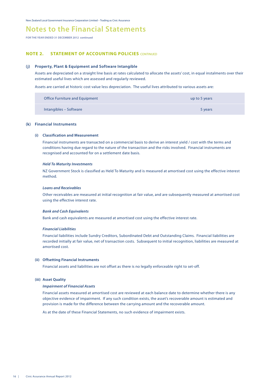## **Notes to the Financial Statements**

**FOR THE YEAR ENDED 31 DECEMBER 2012 continued**

#### **NOTE 2. STATEMENT OF ACCOUNTING POLICIES** CONTINUED

#### **(j) Property, Plant & Equipment and Software Intangible**

Assets are depreciated on a straight line basis at rates calculated to allocate the assets' cost, in equal instalments over their estimated useful lives which are assessed and regularly reviewed.

Assets are carried at historic cost value less depreciation. The useful lives attributed to various assets are:

| Office Furniture and Equipment | up to 5 years |
|--------------------------------|---------------|
| Intangibles – Software         | 5 years       |

#### **(k) Financial Instruments**

#### **(i) Classification and Measurement**

 Financial instruments are transacted on a commercial basis to derive an interest yield / cost with the terms and conditions having due regard to the nature of the transaction and the risks involved. Financial instruments are recognised and accounted for on a settlement date basis.

#### *Held To Maturity Investments*

NZ Government Stock is classified as Held To Maturity and is measured at amortised cost using the effective interest method.

#### *Loans and Receivables*

Other receivables are measured at initial recognition at fair value, and are subsequently measured at amortised cost using the effective interest rate.

#### *Bank and Cash Equivalents*

Bank and cash equivalents are measured at amortised cost using the effective interest rate.

#### *Financial Liabilities*

 Financial liabilities include Sundry Creditors, Subordinated Debt and Outstanding Claims. Financial liabilities are recorded initially at fair value, net of transaction costs. Subsequent to initial recognition, liabilities are measured at amortised cost.

#### **(ii) Offsetting Financial Instruments**

Financial assets and liabilities are not offset as there is no legally enforceable right to set-off.

#### **(iii) Asset Quality**

#### *Impairment of Financial Assets*

Financial assets measured at amortised cost are reviewed at each balance date to determine whether there is any objective evidence of impairment. If any such condition exists, the asset's recoverable amount is estimated and provision is made for the difference between the carrying amount and the recoverable amount.

As at the date of these Financial Statements, no such evidence of impairment exists.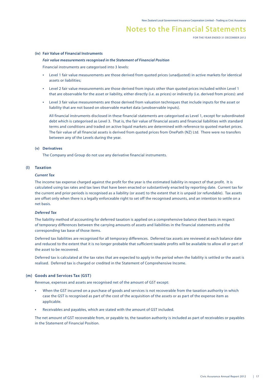**FOR THE YEAR ENDED 31 DECEMBER 2012**

#### **(iv) Fair Value of Financial Instruments**

#### *Fair value measurements recognised in the Statement of Financial Position*

Financial instruments are categorised into 3 levels:

- Level 1 fair value measurements are those derived from quoted prices (unadjusted) in active markets for identical assets or liabilities;
- Level 2 fair value measurements are those derived from inputs other than quoted prices included within Level 1 that are observable for the asset or liability, either directly (i.e. as prices) or indirectly (i.e. derived from prices): and
- Level 3 fair value measurements are those derived from valuation techniques that include inputs for the asset or liability that are not based on observable market data (unobservable inputs).

All financial instruments disclosed in these financial statements are categorised as Level 1, except for subordinated debt which is categorised as Level 3. That is, the fair value of financial assets and financial liabilities with standard terms and conditions and traded on active liquid markets are determined with reference to quoted market prices. The fair value of all financial assets is derived from quoted prices from OnePath (NZ) Ltd. There were no transfers between any of the Levels during the year.

#### **(v) Derivatives**

The Company and Group do not use any derivative financial instruments.

#### **(l) Taxation**

#### *Current Tax*

The income tax expense charged against the profit for the year is the estimated liability in respect of that profit. It is calculated using tax rates and tax laws that have been enacted or substantively enacted by reporting date. Current tax for the current and prior periods is recognised as a liability (or asset) to the extent that it is unpaid (or refundable). Tax assets are offset only when there is a legally enforceable right to set off the recognised amounts, and an intention to settle on a net basis.

#### *Deferred Tax*

The liability method of accounting for deferred taxation is applied on a comprehensive balance sheet basis in respect of temporary differences between the carrying amounts of assets and liabilities in the financial statements and the corresponding tax base of those items.

Deferred tax liabilities are recognised for all temporary differences. Deferred tax assets are reviewed at each balance date and reduced to the extent that it is no longer probable that sufficient taxable profits will be available to allow all or part of the asset to be recovered.

Deferred tax is calculated at the tax rates that are expected to apply in the period when the liability is settled or the asset is realised. Deferred tax is charged or credited in the Statement of Comprehensive Income.

#### **(m) Goods and Services Tax (GST)**

Revenue, expenses and assets are recognised net of the amount of GST except:

- When the GST incurred on a purchase of goods and services is not recoverable from the taxation authority in which case the GST is recognised as part of the cost of the acquisition of the assets or as part of the expense item as applicable.
- Receivables and payables, which are stated with the amount of GST included.

The net amount of GST recoverable from, or payable to, the taxation authority is included as part of receivables or payables in the Statement of Financial Position.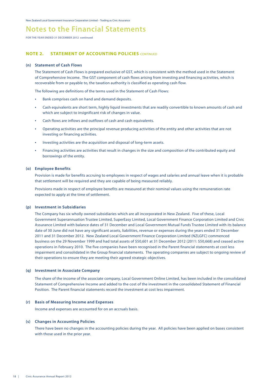**FOR THE YEAR ENDED 31 DECEMBER 2012 continued**

#### **NOTE 2. STATEMENT OF ACCOUNTING POLICIES** CONTINUED

#### **(n) Statement of Cash Flows**

The Statement of Cash Flows is prepared exclusive of GST, which is consistent with the method used in the Statement of Comprehensive Income. The GST component of cash flows arising from investing and financing activities, which is recoverable from or payable to, the taxation authority is classified as operating cash flow.

The following are definitions of the terms used in the Statement of Cash Flows:

- Bank comprises cash on hand and demand deposits.
- Cash equivalents are short term, highly liquid investments that are readily convertible to known amounts of cash and which are subject to insignificant risk of changes in value.
- Cash flows are inflows and outflows of cash and cash equivalents.
- Operating activities are the principal revenue producing activities of the entity and other activities that are not investing or financing activities.
- Investing activities are the acquisition and disposal of long-term assets.
- Financing activities are activities that result in changes in the size and composition of the contributed equity and borrowings of the entity.

#### **(o) Employee Benefits**

Provision is made for benefits accruing to employees in respect of wages and salaries and annual leave when it is probable that settlement will be required and they are capable of being measured reliably.

Provisions made in respect of employee benefits are measured at their nominal values using the remuneration rate expected to apply at the time of settlement.

#### **(p) Investment in Subsidiaries**

The Company has six wholly owned subsidiaries which are all incorporated in New Zealand. Five of these, Local Government Superannuation Trustee Limited, SuperEasy Limited, Local Government Finance Corporation Limited and Civic Assurance Limited with balance dates of 31 December and Local Government Mutual Funds Trustee Limited with its balance date of 30 June did not have any significant assets, liabilities, revenue or expenses during the years ended 31 December 2011 and 31 December 2012. New Zealand Local Government Finance Corporation Limited (NZLGFC) commenced business on the 29 November 1999 and had total assets of \$50,601 at 31 December 2012 (2011: \$50,668) and ceased active operations in February 2010. The five companies have been recognised in the Parent financial statements at cost less impairment and consolidated in the Group financial statements. The operating companies are subject to ongoing review of their operations to ensure they are meeting their agreed strategic objectives.

#### **(q) Investment in Associate Company**

The share of the income of the associate company, Local Government Online Limited, has been included in the consolidated Statement of Comprehensive Income and added to the cost of the investment in the consolidated Statement of Financial Position. The Parent financial statements record the investment at cost less impairment.

#### **(r) Basis of Measuring Income and Expenses**

Income and expenses are accounted for on an accruals basis.

#### **(s) Changes in Accounting Policies**

There have been no changes in the accounting policies during the year. All policies have been applied on bases consistent with those used in the prior year.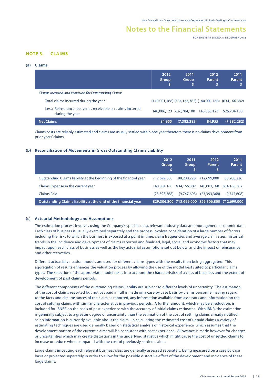**FOR THE YEAR ENDED 31 DECEMBER 2012**

#### **NOTE 3. CLAIMS**

#### **(a) Claims**

|                                                                               | 2012<br>Group | 2011<br>Group | 2012<br>Parent<br>\$ | 2011<br>Parent                                                  |
|-------------------------------------------------------------------------------|---------------|---------------|----------------------|-----------------------------------------------------------------|
| Claims Incurred and Provision for Outstanding Claims                          |               |               |                      |                                                                 |
| Total claims incurred during the year                                         |               |               |                      | $(140,001,168)$ $(634,166,382)$ $(140,001,168)$ $(634,166,382)$ |
| Less: Reinsurance recoveries receivable on claims incurred<br>during the year | 140,086,123   | 626,784,100   | 140,086,123          | 626,784,100                                                     |
| <b>Net Claims</b>                                                             | 84,955        | (7, 382, 282) | 84,955               | (7, 382, 282)                                                   |

Claims costs are reliably estimated and claims are usually settled within one year therefore there is no claims development from prior years' claims.

#### **(b) Reconciliation of Movements in Gross Outstanding Claims Liability**

|                                                                     | 2012<br><b>Group</b> | 2011<br><b>Group</b> | 2012<br>Parent                                  | 2011<br>Parent |
|---------------------------------------------------------------------|----------------------|----------------------|-------------------------------------------------|----------------|
| Outstanding Claims liability at the beginning of the financial year | 712,699,000          |                      | 88.280.226 712.699.000                          | 88,280,226     |
| Claims Expense in the current year                                  | 140,001,168          | 634,166,382          | 140,001,168                                     | 634,166,382    |
| Claims Paid                                                         | (23, 393, 368)       | (9.747.608)          | (23, 393, 368)                                  | (9,747,608)    |
| Outstanding Claims liability at the end of the financial year       |                      |                      | 829,306,800 712,699,000 829,306,800 712,699,000 |                |

#### **(c) Actuarial Methodology and Assumptions**

The estimation process involves using the Company's specific data, relevant industry data and more general economic data. Each class of business is usually examined separately and the process involves consideration of a large number of factors including the risks to which the business is exposed at a point in time, claim frequencies and average claim sizes, historical trends in the incidence and development of claims reported and finalised, legal, social and economic factors that may impact upon each class of business as well as the key actuarial assumptions set out below, and the impact of reinsurance and other recoveries.

Different actuarial valuation models are used for different claims types with the results then being aggregated. This aggregation of results enhances the valuation process by allowing the use of the model best suited to particular claims types. The selection of the appropriate model takes into account the characteristics of a class of business and the extent of development of past claims periods.

The different components of the outstanding claims liability are subject to different levels of uncertainty. The estimation of the cost of claims reported but not yet paid in full is made on a case by case basis by claims personnel having regard to the facts and circumstances of the claim as reported, any information available from assessors and information on the cost of settling claims with similar characteristics in previous periods. A further amount, which may be a reduction, is included for IBNER on the basis of past experience with the accuracy of initial claims estimates. With IBNR, the estimation is generally subject to a greater degree of uncertainty than the estimation of the cost of settling claims already notified, as no information is currently available about the claim. In calculating the estimated cost of unpaid claims a variety of estimating techniques are used generally based on statistical analysis of historical experience, which assumes that the development pattern of the current claims will be consistent with past experience. Allowance is made however for changes or uncertainties which may create distortions in the underlying statistics which might cause the cost of unsettled claims to increase or reduce when compared with the cost of previously settled claims.

Large claims impacting each relevant business class are generally assessed separately, being measured on a case by case basis or projected separately in order to allow for the possible distortive effect of the development and incidence of these large claims.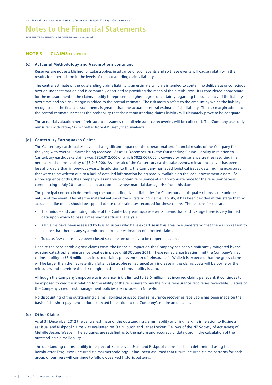**FOR THE YEAR ENDED 31 DECEMBER 2012 continued**

#### **NOTE 3. CLAIMS** CONTINUED

#### **(c) Actuarial Methodology and Assumptions** continued

Reserves are not established for catastrophes in advance of such events and so these events will cause volatility in the results for a period and in the levels of the outstanding claims liability.

The central estimate of the outstanding claims liability is an estimate which is intended to contain no deliberate or conscious over or under estimation and is commonly described as providing the mean of the distribution. It is considered appropriate for the measurement of the claims liability to represent a higher degree of certainty regarding the sufficiency of the liability over time, and so a risk margin is added to the central estimate. The risk margin refers to the amount by which the liability recognised in the financial statements is greater than the actuarial central estimate of the liability. The risk margin added to the central estimate increases the probability that the net outstanding claims liability will ultimately prove to be adequate.

The actuarial valuation net of reinsurance assumes that all reinsurance recoveries will be collected. The Company uses only reinsurers with rating "A-" or better from AM Best (or equivalent).

#### **(d) Canterbury Earthquakes Claims**

The Canterbury earthquakes have had a significant impact on the operational and financial results of the Company for the year, with over 900 claims being received. As at 31 December 2012 the Outstanding Claims Liability in relation to Canterbury earthquake claims was \$826,012,000 of which \$822,069,000 is covered by reinsurance treaties resulting in a net incurred claims liability of \$3,943,000. As a result of the Canterbury earthquake events, reinsurance cover has been less affordable than in previous years. In addition to this, the Company has faced logistical issues detailing the exposures that were to be written due to a lack of detailed information being readily available on the local government assets. As a consequence of this, the Company was unable to obtain reinsurance at an appropriate price for the reinsurance year commencing 1 July 2011 and has not accepted any new material damage risk from this date.

The principal concern in determining the outstanding claims liabilities for Canterbury earthquake claims is the unique nature of the event. Despite the material nature of the outstanding claims liability, it has been decided at this stage that no actuarial adjustment should be applied to the case estimates recorded for these claims. The reasons for this are:

- The unique and continuing nature of the Canterbury earthquake events means that at this stage there is very limited data upon which to base a meaningful actuarial analysis.
- All claims have been assessed by loss adjusters who have expertise in this area. We understand that there is no reason to believe that there is any systemic under or over estimation of reported claims.
- • To date, few claims have been closed so there are unlikely to be reopened claims.

Despite the considerable gross claims costs, the financial impact on the Company has been significantly mitigated by the existing catastrophe reinsurance treaties in place until 30 June 2011. These reinsurance treaties limit the Company's net claims liability to \$3.6 million net incurred claims per event (net of reinsurance). While it is expected that the gross claims will be larger than the net retention (after catastrophe reinsurance) any increase in the claims costs will be borne by the reinsurers and therefore the risk margin on the net claims liability is zero.

Although the Company's exposure to insurance risk is limited to \$3.6 million net incurred claims per event, it continues to be exposed to credit risk relating to the ability of the reinsurers to pay the gross reinsurance recoveries receivable. Details of the Company's credit risk management policies are included in Note 4(d).

No discounting of the outstanding claims liabilities or associated reinsurance recoveries receivable has been made on the basis of the short payment period expected in relation to the Company's net insured claims.

#### **(e) Other Claims**

As at 31 December 2012 the central estimate of the outstanding claims liability and risk margins in relation to Business as Usual and Riskpool claims was evaluated by Craig Lough and Janet Lockett (Fellows of the NZ Society of Actuaries) of Melville Jessup Weaver. The actuaries are satisfied as to the nature and accuracy of data used in the calculation of the outstanding claims liability.

The outstanding claims liability in respect of Business as Usual and Riskpool claims has been determined using the Bornhuetter-Fergusson (incurred claims) methodology. It has been assumed that future incurred claims patterns for each group of business will continue to follow observed historic patterns.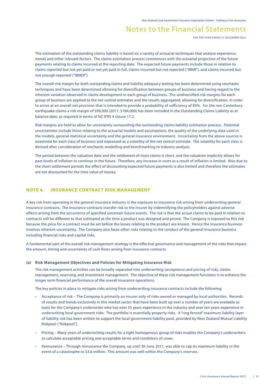**FOR THE YEAR ENDED 31 DECEMBER 2012**

The estimation of the outstanding claims liability is based on a variety of actuarial techniques that analyse experience, trends and other relevant factors. The claims estimation process commences with the actuarial projection of the future payments relating to claims incurred at the reporting date. The expected future payments include those in relation to claims reported but not yet paid or not yet paid in full, claims incurred but not reported ("IBNR"), and claims incurred but not enough reported ("IBNER").

The overall risk margin for both outstanding claims and liability adequacy testing has been determined using stochastic techniques and have been determined allowing for diversification between groups of business and having regard to the inherent variation observed in claims development in each group of business. The undiversified risk margins for each group of business are applied to the net central estimates and the results aggregated, allowing for diversification, in order to arrive at an overall net provision that is intended to provide a probability of sufficiency of 85%. For the non Canterbury earthquake claims a risk margin of \$96,000 (2011: \$184,000) has been included in the Outstanding Claims Liability as at balance date, as required in terms of NZ IFRS 4 clause 17.2.

Risk margins are held to allow for uncertainty surrounding the outstanding claims liability estimation process. Potential uncertainties include those relating to the actuarial models and assumptions, the quality of the underlying data used in the models, general statistical uncertainty and the general insurance environment. Uncertainty from the above sources is examined for each class of business and expressed as a volatility of the net central estimate. The volatility for each class is derived after consideration of stochastic modelling and benchmarking to industry analysis.

The period between the valuation date and the settlement of most claims is short, and the valuation implicitly allows for past levels of inflation to continue in the future. Therefore, any increase in costs as a result of inflation is limited. Also due to the short settlement periods the effect of discounting expected future payments is also limited and therefore the estimates are not discounted for the time value of money.

#### **NOTE 4. INSURANCE CONTRACT RISK MANAGEMENT**

A key risk from operating in the general insurance industry is the exposure to insurance risk arising from underwriting general insurance contracts. The insurance contracts transfer risk to the insurer by indemnifying the policyholders against adverse affects arising from the occurrence of specified uncertain future events. The risk is that the actual claims to be paid in relation to contracts will be different to that estimated at the time a product was designed and priced. The Company is exposed to this risk because the price for a contract must be set before the losses relating to the product are known. Hence the insurance business involves inherent uncertainty. The Company also faces other risks relating to the conduct of the general insurance business including financial risks and capital risks.

A fundamental part of the overall risk management strategy is the effective governance and management of the risks that impact the amount, timing and uncertainty of cash flows arising from insurance contracts.

#### **(a) Risk Management Objectives and Policies for Mitigating Insurance Risk**

The risk management activities can be broadly separated into underwriting (acceptance and pricing of risk), claims management, reserving, and investment management. The objective of these risk management functions is to enhance the longer term financial performance of the overall insurance operations.

The key policies in place to mitigate risks arising from underwriting insurance contracts include the following:

- • Acceptance of risk The Company is primarily an insurer only of risks owned or managed by local authorities. Records of results and trends exclusively in this market sector that have been built up over a number of years are available as tools for the Company's underwriter who has over 35 years experience in the industry and over ten years experience in underwriting local government risks. The portfolio is essentially property risks. A "ring fenced" maximum liability layer of liability risk has been written to support the local government liability pool, provided by New Zealand Mutual Liability Riskpool ("Riskpool").
- Pricing Many years of underwriting results for a tight homogenous group of risks enables the Company's underwriters to calculate acceptable pricing and acceptable terms and conditions of cover.
- Reinsurance Through reinsurance the Company, up until 30 June 2011, was able to cap its maximum liability in the event of a catastrophe to \$3.6 million. This amount was well within the Company's reserves.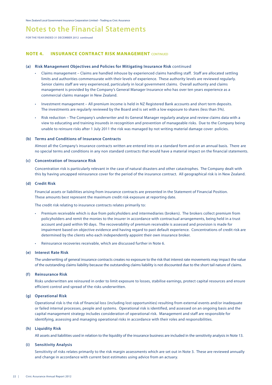**FOR THE YEAR ENDED 31 DECEMBER 2012 continued**

#### **NOTE 4. INSURANCE CONTRACT RISK MANAGEMENT** CONTINUED

#### **(a) Risk Management Objectives and Policies for Mitigating Insurance Risk** continued

- Claims management Claims are handled inhouse by experienced claims handling staff. Staff are allocated settling limits and authorities commensurate with their levels of experience. These authority levels are reviewed regularly. Senior claims staff are very experienced, particularly in local government claims. Overall authority and claims management is provided by the Company's General Manager Insurance who has over ten years experience as a commercial claims manager in New Zealand.
- Investment management All premium income is held in NZ Registered Bank accounts and short term deposits. The investments are regularly reviewed by the Board and is set with a low exposure to shares (less than 5%).
- Risk reduction The Company's underwriter and its General Manager regularly analyse and review claims data with a view to educating and training insureds in recognition and prevention of manageable risks. Due to the Company being unable to reinsure risks after 1 July 2011 the risk was managed by not writing material damage cover policies.

#### **(b) Terms and Conditions of Insurance Contracts**

Almost all the Company's insurance contracts written are entered into on a standard form and on an annual basis. There are no special terms and conditions in any non standard contracts that would have a material impact on the financial statements.

#### **(c) Concentration of Insurance Risk**

 Concentration risk is particularly relevant in the case of natural disasters and other catastrophes. The Company dealt with this by having uncapped reinsurance cover for the period of the insurance contract. All geographical risk is in New Zealand.

#### **(d) Credit Risk**

Financial assets or liabilities arising from insurance contracts are presented in the Statement of Financial Position. These amounts best represent the maximum credit risk exposure at reporting date.

The credit risk relating to insurance contracts relates primarily to:

- Premium receivable which is due from policyholders and intermediaries (brokers). The brokers collect premium from policyholders and remit the monies to the insurer in accordance with contractual arrangements, being held in a trust account and paid within 90 days. The recoverability of premium receivable is assessed and provision is made for impairment based on objective evidence and having regard to past default experience. Concentrations of credit risk are determined by the clients who each independently appoint their own insurance broker.
- Reinsurance recoveries receivable, which are discussed further in Note 6.

#### **(e) Interest Rate Risk**

The underwriting of general insurance contracts creates no exposure to the risk that interest rate movements may impact the value of the outstanding claims liability because the outstanding claims liability is not discounted due to the short tail nature of claims.

#### **(f) Reinsurance Risk**

Risks underwritten are reinsured in order to limit exposure to losses, stabilise earnings, protect capital resources and ensure efficient control and spread of the risks underwritten.

#### **(g) Operational Risk**

Operational risk is the risk of financial loss (including lost opportunities) resulting from external events and/or inadequate or failed internal processes, people and systems. Operational risk is identified, and assessed on an ongoing basis and the capital management strategy includes consideration of operational risk. Management and staff are responsible for identifying, assessing and managing operational risks in accordance with their roles and responsibilities.

#### **(h) Liquidity Risk**

All assets and liabilities used in relation to the liquidity of the insurance business are included in the sensitivity analysis in Note 13.

#### **(i) Sensitivity Analysis**

Sensitivity of risks relates primarily to the risk margin assessments which are set out in Note 3. These are reviewed annually and change in accordance with current best estimates using advice from an actuary.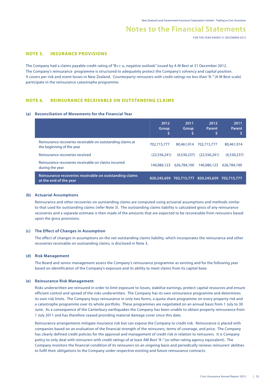**FOR THE YEAR ENDED 31 DECEMBER 2012**

#### **NOTE 5. INSURANCE PROVISIONS**

The Company had a claims payable credit rating of "B++ u, negative outlook" issued by A M Best at 31 December 2012. The Company's reinsurance programme is structured to adequately protect the Company's solvency and capital position. It covers per risk and event losses in New Zealand. Counterparty reinsurers with credit ratings no less than "A-" (A M Best scale) participate in the reinsurance catastrophe programme.

#### **NOTE 6. REINSURANCE RECEIVABLE ON OUTSTANDING CLAIMS**

#### **(a) Reconciliation of Movements for the Financial Year**

|                                                                                         | 2012<br>Group | 2011<br><b>Group</b> | 2012<br>Parent<br>\$                            | 2011<br>Parent |
|-----------------------------------------------------------------------------------------|---------------|----------------------|-------------------------------------------------|----------------|
| Reinsurance recoveries receivable on outstanding claims at<br>the beginning of the year | 702.715.777   | 80.461.914           | 702.715.777                                     | 80,461,914     |
| Reinsurance recoveries received                                                         | (22.556.241)  | (4.530.237)          | (22.556.241)                                    | (4,530,237)    |
| Reinsurance recoveries receivable on claims incurred<br>during the year                 | 140,086,123   | 626,784,100          | 140,086,123                                     | 626,784,100    |
| Reinsurance recoveries receivable on outstanding claims<br>at the end of the year       |               |                      | 820,245,659 702,715,777 820,245,659 702,715,777 |                |

#### **(b) Actuarial Assumptions**

Reinsurance and other recoveries on outstanding claims are computed using actuarial assumptions and methods similar to that used for outstanding claims (refer Note 3). The outstanding claims liability is calculated gross of any reinsurance recoveries and a separate estimate is then made of the amounts that are expected to be recoverable from reinsurers based upon the gross provisions.

#### **(c) The Effect of Changes in Assumption**

The effect of changes in assumptions on the net outstanding claims liability, which incorporates the reinsurance and other recoveries receivable on outstanding claims, is disclosed in Note 3.

#### **(d) Risk Management**

The Board and senior management assess the Company's reinsurance programme as existing and for the following year based on identification of the Company's exposure and its ability to meet claims from its capital base.

#### **(e) Reinsurance Risk Management**

Risks underwritten are reinsured in order to limit exposure to losses, stabilise earnings, protect capital resources and ensure efficient control and spread of the risks underwritten. The Company has its own reinsurance programme and determines its own risk limits. The Company buys reinsurance in only two forms, a quota share programme on every property risk and a catastrophe programme over its whole portfolio. These programmes are negotiated on an annual basis from 1 July to 30 June. As a consequence of the Canterbury earthquakes the Company has been unable to obtain property reinsurance from 1 July 2011 and has therefore ceased providing material damage cover since this date.

Reinsurance arrangements mitigate insurance risk but can expose the Company to credit risk. Reinsurance is placed with companies based on an evaluation of the financial strength of the reinsurers, terms of coverage, and price. The Company has clearly defined credit policies for the approval and management of credit risk in relation to reinsurers. It is Company policy to only deal with reinsurers with credit ratings of at least AM Best "A-" (or other rating agency equivalent). The Company monitors the financial condition of its reinsurers on an ongoing basis and periodically reviews reinsurers' abilities to fulfil their obligations to the Company under respective existing and future reinsurance contracts.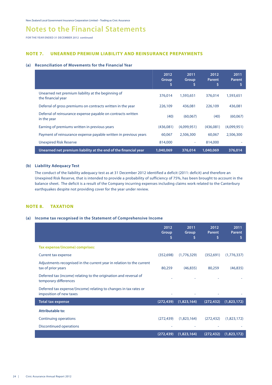**FOR THE YEAR ENDED 31 DECEMBER 2012 continued**

#### **NOTE 7. UNEARNED PREMIUM LIABILITY AND REINSURANCE PREPAYMENTS**

#### **(a) Reconciliation of Movements for the Financial Year**

|                                                                             | 2012<br>Group | 2011<br>Group<br>S | 2012<br><b>Parent</b><br>\$ | 2011<br><b>Parent</b> |
|-----------------------------------------------------------------------------|---------------|--------------------|-----------------------------|-----------------------|
| Unearned net premium liability at the beginning of<br>the financial year    | 376,014       | 1,593,651          | 376,014                     | 1,593,651             |
| Deferral of gross premiums on contracts written in the year                 | 226,109       | 436,081            | 226,109                     | 436,081               |
| Deferral of reinsurance expense payable on contracts written<br>in the year | (40)          | (60,067)           | (40)                        | (60,067)              |
| Earning of premiums written in previous years                               | (436,081)     | (4,099,951)        | (436,081)                   | (4,099,951)           |
| Payment of reinsurance expense payable written in previous years            | 60.067        | 2,506,300          | 60,067                      | 2,506,300             |
| <b>Unexpired Risk Reserve</b>                                               | 814,000       | ۰                  | 814,000                     |                       |
| Unearned net premium liability at the end of the financial year             | 1.040.069     | 376,014            | 1,040,069                   | 376,014               |

#### **(b) Liability Adequacy Test**

The conduct of the liability adequacy test as at 31 December 2012 identified a deficit (2011: deficit) and therefore an Unexpired Risk Reserve, that is intended to provide a probability of sufficiency of 75%, has been brought to account in the balance sheet. The deficit is a result of the Company incurring expenses including claims work related to the Canterbury earthquakes despite not providing cover for the year under review.

#### **NOTE 8. TAXATION**

#### **(a) Income tax recognised in the Statement of Comprehensive Income**

|                                                                                              | 2012<br>Group<br>S | 2011<br>Group<br>S | 2012<br>Parent<br>S | 2011<br>Parent<br>s |
|----------------------------------------------------------------------------------------------|--------------------|--------------------|---------------------|---------------------|
| Tax expense/(income) comprises:                                                              |                    |                    |                     |                     |
| <b>Current tax expense</b>                                                                   | (352, 698)         | (1,776,329)        | (352, 691)          | (1,776,337)         |
| Adjustments recognised in the current year in relation to the current<br>tax of prior years  | 80,259             | (46, 835)          | 80,259              | (46, 835)           |
| Deferred tax (income) relating to the origination and reversal of<br>temporary differences   |                    |                    |                     |                     |
| Deferred tax expense/(income) relating to changes in tax rates or<br>imposition of new taxes |                    |                    |                     |                     |
| <b>Total tax expense</b>                                                                     | (272, 439)         | (1,823,164)        | (272, 432)          | (1,823,172)         |
| <b>Attributable to:</b>                                                                      |                    |                    |                     |                     |
| <b>Continuing operations</b>                                                                 | (272, 439)         | (1,823,164)        | (272, 432)          | (1,823,172)         |
| Discontinued operations                                                                      |                    |                    |                     |                     |
|                                                                                              | (272, 439)         | (1,823,164)        | (272, 432)          | (1,823,172)         |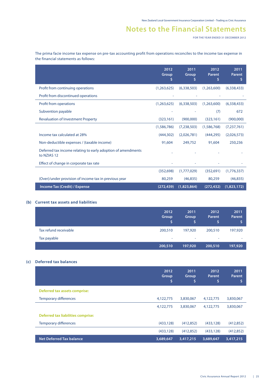**FOR THE YEAR ENDED 31 DECEMBER 2012**

The prima facie income tax expense on pre-tax accounting profit from operations reconciles to the income tax expense in the financial statements as follows:

|                                                                             | 2012<br>Group<br>\$ | 2011<br>Group<br>\$ | 2012<br>Parent | 2011<br>Parent<br>\$ |
|-----------------------------------------------------------------------------|---------------------|---------------------|----------------|----------------------|
| Profit from continuing operations                                           | (1,263,625)         | (6,338,503)         | (1,263,600)    | (6,338,433)          |
| Profit from discontinued operations                                         |                     |                     |                |                      |
| Profit from operations                                                      | (1,263,625)         | (6,338,503)         | (1,263,600)    | (6,338,433)          |
| Subvention payable                                                          |                     |                     | (7)            | 672                  |
| <b>Revaluation of Investment Property</b>                                   | (323, 161)          | (900,000)           | (323, 161)     | (900,000)            |
|                                                                             | (1,586,786)         | (7,238,503)         | (1,586,768)    | (7,237,761)          |
| Income tax calculated at 28%                                                | (444.302)           | (2,026,781)         | (444, 295)     | (2,026,573)          |
| Non-deductible expenses / (taxable income)                                  | 91,604              | 249,752             | 91,604         | 250,236              |
| Deferred tax income relating to early adoption of amendments<br>to NZIAS 12 |                     |                     |                |                      |
| Effect of change in corporate tax rate                                      |                     |                     |                |                      |
|                                                                             | (352, 698)          | (1,777,029)         | (352, 691)     | (1,776,337)          |
| (Over)/under provision of income tax in previous year                       | 80,259              | (46, 835)           | 80,259         | (46, 835)            |
| Income Tax (Credit) / Expense                                               | (272, 439)          | (1,823,864)         | (272, 432)     | (1,823,172)          |

#### **(b) Current tax assets and liabilities**

|                       | 2012<br>Group<br>s | 2011<br>Group<br>S | 2012<br>Parent | 2011<br><b>Parent</b> |
|-----------------------|--------------------|--------------------|----------------|-----------------------|
| Tax refund receivable | 200,510            | 197,920            | 200,510        | 197,920               |
| Tax payable           | $\sim$             | $\sim$             | ٠              | ۰                     |
|                       | 200,510            | 197,920            | 200,510        | 197,920               |

#### **(c) Deferred tax balances**

|                                    | 2012<br>Group<br>\$ | 2011<br><b>Group</b><br>\$ | 2012<br>Parent<br>\$ | 2011<br>Parent<br>\$ |
|------------------------------------|---------------------|----------------------------|----------------------|----------------------|
| Deferred tax assets comprise:      |                     |                            |                      |                      |
| <b>Temporary differences</b>       | 4,122,775           | 3,830,067                  | 4,122,775            | 3,830,067            |
|                                    | 4,122,775           | 3,830,067                  | 4,122,775            | 3,830,067            |
| Deferred tax liabilities comprise: |                     |                            |                      |                      |
| <b>Temporary differences</b>       | (433, 128)          | (412, 852)                 | (433, 128)           | (412, 852)           |
|                                    | (433, 128)          | (412, 852)                 | (433, 128)           | (412, 852)           |
| <b>Net Deferred Tax balance</b>    | 3,689,647           | 3,417,215                  | 3,689,647            | 3,417,215            |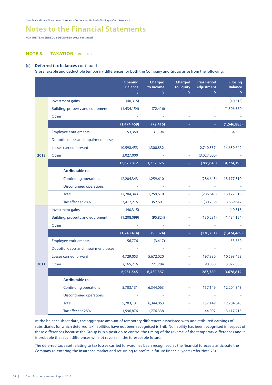**FOR THE YEAR ENDED 31 DECEMBER 2012 continued**

#### **NOTE 8. TAXATION CONTINUED**

#### **(c) Deferred tax balances** continued

Gross Taxable and deductible temporary differences for both the Company and Group arise from the following:

|      |                                      | <b>Opening</b><br><b>Balance</b><br>\$ | Charged<br>to Income<br>\$ | Charged<br>to Equity<br>Ś. | <b>Prior Period</b><br><b>Adjustment</b><br>Š. | <b>Closing</b><br><b>Balance</b><br>\$ |
|------|--------------------------------------|----------------------------------------|----------------------------|----------------------------|------------------------------------------------|----------------------------------------|
|      | Investment gains                     | (40, 315)                              |                            |                            | L.                                             | (40, 315)                              |
|      | Building, property and equipment     | (1,434,154)                            | (72, 416)                  |                            |                                                | (1,506,570)                            |
|      | Other                                |                                        |                            |                            |                                                |                                        |
|      |                                      | (1,474,469)                            | (72, 416)                  |                            |                                                | (1,546,885)                            |
|      | <b>Employee entitlements</b>         | 53,359                                 | 31,194                     |                            |                                                | 84,553                                 |
|      | Doubtful debts and impairment losses |                                        |                            |                            |                                                |                                        |
|      | Losses carried forward               | 10,598,453                             | 1,300,832                  |                            | 2,740,357                                      | 14,639,642                             |
| 2012 | Other                                | 3,027,000                              |                            |                            | (3,027,000)                                    |                                        |
|      |                                      | 13,678,812                             | 1,332,026                  |                            | (286, 643)                                     | 14,724,195                             |
|      | <b>Attributable to:</b>              |                                        |                            |                            |                                                |                                        |
|      | <b>Continuing operations</b>         | 12,204,343                             | 1,259,610                  | ä,                         | (286, 643)                                     | 13,177,310                             |
|      | <b>Discontinued operations</b>       |                                        |                            |                            |                                                |                                        |
|      | <b>Total</b>                         | 12,204,343                             | 1,259,610                  |                            | (286, 643)                                     | 13,177,310                             |
|      | Tax effect at 28%                    | 3,417,215                              | 352,691                    | L,                         | (80, 259)                                      | 3,689,647                              |
|      | Investment gains                     | (40,315)                               | $\omega$                   |                            |                                                | (40,315)                               |
|      | Building, property and equipment     | (1,208,099)                            | (95, 824)                  |                            | (130, 231)                                     | (1,434,154)                            |
|      | Other                                |                                        |                            |                            |                                                |                                        |
|      |                                      | (1, 248, 414)                          | (95, 824)                  |                            | (130, 231)                                     | (1,474,469)                            |
|      | <b>Employee entitlements</b>         | 56,776                                 | (3, 417)                   |                            |                                                | 53,359                                 |
|      | Doubtful debts and impairment losses |                                        |                            |                            |                                                |                                        |
|      | Losses carried forward               | 4,729,053                              | 5,672,020                  |                            | 197,380                                        | 10,598,453                             |
| 2011 | Other                                | 2,165,716                              | 771,284                    |                            | 90,000                                         | 3,027,000                              |
|      |                                      | 6,951,545                              | 6,439,887                  |                            | 287,380                                        | 13,678,812                             |
|      | <b>Attributable to:</b>              |                                        |                            |                            |                                                |                                        |
|      | <b>Continuing operations</b>         | 5,703,131                              | 6,344,063                  |                            | 157,149                                        | 12,204,343                             |
|      | <b>Discontinued operations</b>       |                                        |                            |                            |                                                |                                        |
|      | <b>Total</b>                         | 5,703,131                              | 6,344,063                  | L,                         | 157,149                                        | 12,204,343                             |
|      | Tax effect at 28%                    | 1,596,876                              | 1,776,338                  |                            | 44,002                                         | 3,417,215                              |

At the balance sheet date, the aggregate amount of temporary differences associated with undistributed earnings of subsidiaries for which deferred tax liabilities have not been recognised is \$nil. No liability has been recognised in respect of these differences because the Group is in a position to control the timing of the reversal of the temporary differences and it is probable that such differences will not reverse in the foreseeable future.

The deferred tax asset relating to tax losses carried forward has been recognised as the financial forecasts anticipate the Company re-entering the insurance market and returning to profits in future financial years (refer Note 23).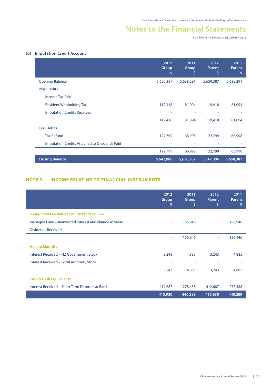**FOR THE YEAR ENDED 31 DECEMBER 2012**

#### **(d) Imputation Credit Account**

|                                                      | 2012<br>Group<br>\$ | 2011<br><b>Group</b><br>\$ | 2012<br>Parent<br>\$ | 2011<br><b>Parent</b><br>\$ |
|------------------------------------------------------|---------------------|----------------------------|----------------------|-----------------------------|
| <b>Opening Balance</b>                               | 5,650,387           | 5,638,291                  | 5,650,387            | 5,638,291                   |
| <b>Plus Credits</b>                                  |                     |                            |                      |                             |
| <b>Income Tax Paid</b>                               |                     |                            |                      |                             |
| <b>Resident Withholding Tax</b>                      | 119,418             | 81,094                     | 119,418              | 81,094                      |
| <b>Imputation Credits Received</b>                   |                     |                            |                      |                             |
|                                                      | 119,418             | 81,094                     | 119,418              | 81,094                      |
| <b>Less Debits</b>                                   |                     |                            |                      |                             |
| <b>Tax Refund</b>                                    | 122,799             | 68,998                     | 122,799              | 68,998                      |
| <b>Imputation Credits Attached to Dividends Paid</b> |                     |                            |                      |                             |
|                                                      | 122,799             | 68,998                     | 122,799              | 68,998                      |
| <b>Closing Balance</b>                               | 5,647,006           | 5,650,387                  | 5,647,006            | 5,650,387                   |

#### **NOTE 9. INCOME RELATING TO FINANCIAL INSTRUMENTS**

|                                                        | 2012<br>Group<br>\$ | 2011<br><b>Group</b><br>\$ | 2012<br><b>Parent</b><br>\$ | 2011<br><b>Parent</b><br>\$ |
|--------------------------------------------------------|---------------------|----------------------------|-----------------------------|-----------------------------|
| <b>Designated Fair Value through Profit or Loss</b>    |                     |                            |                             |                             |
| Managed Fund – Reinvested interest and change in value | ٠                   | 156,946                    | ۰                           | 156,946                     |
| <b>Dividends Received</b>                              | ۰                   | ۰                          | ۰                           |                             |
|                                                        | ÷                   | 156,946                    | ٠                           | 156,946                     |
| <b>Held to Maturity</b>                                |                     |                            |                             |                             |
| Interest Received - NZ Government Stock                | 3,243               | 4,885                      | 3,243                       | 4,885                       |
| <b>Interest Received - Local Authority Stock</b>       | ٠                   | ٠                          | ٠                           |                             |
|                                                        | 3,243               | 4,885                      | 3,243                       | 4,885                       |
| <b>Cash &amp; Cash Equivalents</b>                     |                     |                            |                             |                             |
| Interest Received - Short Term Deposits at Bank        | 412,687             | 278,458                    | 412,687                     | 278,458                     |
|                                                        | 415,930             | 440,289                    | 415,930                     | 440,289                     |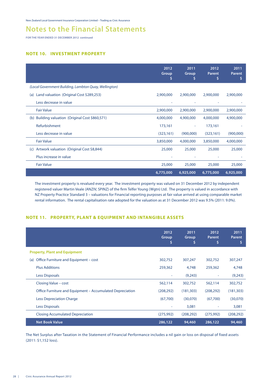## **Notes to the Financial Statements**

**FOR THE YEAR ENDED 31 DECEMBER 2012 continued**

#### **NOTE 10. INVESTMENT PROPERTY**

|                                                       | 2012<br>Group<br>\$ | 2011<br>Group<br>\$ | 2012<br>Parent<br>\$ | 2011<br><b>Parent</b><br>\$ |
|-------------------------------------------------------|---------------------|---------------------|----------------------|-----------------------------|
| (Local Government Building, Lambton Quay, Wellington) |                     |                     |                      |                             |
| Land valuation (Original Cost \$289,253)<br>(a)       | 2,900,000           | 2,900,000           | 2,900,000            | 2,900,000                   |
| Less decrease in value                                | ۰                   | ٠                   |                      |                             |
| <b>Fair Value</b>                                     | 2,900,000           | 2,900,000           | 2,900,000            | 2,900,000                   |
| (b) Building valuation (Original Cost \$860,571)      | 4,000,000           | 4,900,000           | 4,000,000            | 4,900,000                   |
| Refurbishment                                         | 173,161             | ٠                   | 173,161              |                             |
| Less decrease in value                                | (323, 161)          | (900,000)           | (323, 161)           | (900,000)                   |
| <b>Fair Value</b>                                     | 3,850,000           | 4,000,000           | 3,850,000            | 4,000,000                   |
| Artwork valuation (Original Cost \$8,844)<br>(c)      | 25,000              | 25,000              | 25,000               | 25,000                      |
| Plus increase in value                                | ٠                   |                     |                      |                             |
| <b>Fair Value</b>                                     | 25,000              | 25,000              | 25,000               | 25,000                      |
|                                                       | 6,775,000           | 6,925,000           | 6,775,000            | 6,925,000                   |

The investment property is revalued every year. The investment property was valued on 31 December 2012 by independent registered valuer Martin Veale (ANZIV, SPINZ) of the firm Telfer Young (Wgtn) Ltd. The property is valued in accordance with NZ Property Practice Standard 3 – valuations for Financial reporting purposes at fair value arrived at using comparable market rental information. The rental capitalisation rate adopted for the valuation as at 31 December 2012 was 9.5% (2011: 9.0%).

#### **NOTE 11. PROPERTY, PLANT & EQUIPMENT AND INTANGIBLE ASSETS**

|                                                           | 2012<br>Group<br>S | 2011<br>Group<br>S | 2012<br><b>Parent</b><br>s | 2011<br><b>Parent</b><br>s |
|-----------------------------------------------------------|--------------------|--------------------|----------------------------|----------------------------|
| <b>Property, Plant and Equipment</b>                      |                    |                    |                            |                            |
| Office Furniture and Equipment – cost<br>(a)              | 302,752            | 307,247            | 302,752                    | 307,247                    |
| <b>Plus Additions</b>                                     | 259,362            | 4,748              | 259,362                    | 4,748                      |
| <b>Less Disposals</b>                                     | ٠                  | (9,243)            | ٠                          | (9,243)                    |
| Closing Value – cost                                      | 562,114            | 302,752            | 562,114                    | 302,752                    |
| Office Furniture and Equipment – Accumulated Depreciation | (208, 292)         | (181, 303)         | (208, 292)                 | (181, 303)                 |
| <b>Less Depreciation Charge</b>                           | (67,700)           | (30,070)           | (67,700)                   | (30,070)                   |
| <b>Less Disposals</b>                                     |                    | 3,081              |                            | 3,081                      |
| <b>Closing Accumulated Depreciation</b>                   | (275, 992)         | (208, 292)         | (275, 992)                 | (208, 292)                 |
| <b>Net Book Value</b>                                     | 286,122            | 94,460             | 286,122                    | 94,460                     |

The Net Surplus after Taxation in the Statement of Financial Performance includes a nil gain or loss on disposal of fixed assets (2011: \$1,152 loss).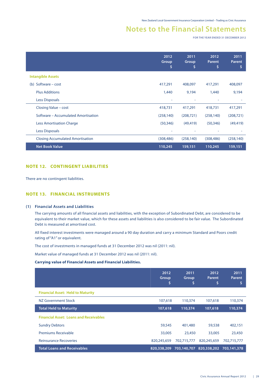**FOR THE YEAR ENDED 31 DECEMBER 2012**

|                                         | 2012<br>Group<br>Ş | 2011<br>Group<br>S | 2012<br><b>Parent</b><br>S | 2011<br>Parent<br>\$ |
|-----------------------------------------|--------------------|--------------------|----------------------------|----------------------|
| <b>Intangible Assets</b>                |                    |                    |                            |                      |
| (b) Software – cost                     | 417,291            | 408,097            | 417,291                    | 408,097              |
| <b>Plus Additions</b>                   | 1,440              | 9,194              | 1,440                      | 9,194                |
| <b>Less Disposals</b>                   |                    |                    |                            |                      |
| Closing Value - cost                    | 418,731            | 417,291            | 418,731                    | 417,291              |
| Software – Accumulated Amortisation     | (258, 140)         | (208, 721)         | (258, 140)                 | (208, 721)           |
| <b>Less Amortisation Charge</b>         | (50, 346)          | (49, 419)          | (50, 346)                  | (49, 419)            |
| Less Disposals                          | ٠                  | ٠                  | ۰                          |                      |
| <b>Closing Accumulated Amortisation</b> | (308, 486)         | (258, 140)         | (308, 486)                 | (258, 140)           |
| <b>Net Book Value</b>                   | 110,245            | 159,151            | 110,245                    | 159,151              |

#### **NOTE 12. CONTINGENT LIABILITIES**

There are no contingent liabilities.

#### **NOTE 13. FINANCIAL INSTRUMENTS**

#### **(1) Financial Assets and Liabilities**

The carrying amounts of all financial assets and liabilities, with the exception of Subordinated Debt, are considered to be equivalent to their market value, which for these assets and liabilities is also considered to be fair value. The Subordinated Debt is measured at amortised cost.

 All fixed interest investments were managed around a 90 day duration and carry a minimum Standard and Poors credit rating of "A1" or equivalent.

The cost of investments in managed funds at 31 December 2012 was nil (2011: nil).

Market value of managed funds at 31 December 2012 was nil (2011: nil).

#### **Carrying value of Financial Assets and Financial Liabilities.**

|                                               | 2012<br>Group<br>\$ | 2011<br>Group<br>\$ | 2012<br><b>Parent</b><br>\$ | 2011<br><b>Parent</b><br>S |
|-----------------------------------------------|---------------------|---------------------|-----------------------------|----------------------------|
| <b>Financial Asset: Held to Maturity</b>      |                     |                     |                             |                            |
| NZ Government Stock                           | 107,618             | 110,374             | 107,618                     | 110,374                    |
| <b>Total Held to Maturity</b>                 | 107,618             | 110,374             | 107,618                     | 110,374                    |
| <b>Financial Asset: Loans and Receivables</b> |                     |                     |                             |                            |
| <b>Sundry Debtors</b>                         | 59,545              | 401,480             | 59,538                      | 402,151                    |
| <b>Premiums Receivable</b>                    | 33,005              | 23,450              | 33,005                      | 23,450                     |
| <b>Reinsurance Recoveries</b>                 | 820,245,659         | 702,715,777         | 820,245,659                 | 702,715,777                |
| <b>Total Loans and Receivables</b>            | 820,338,209         | 703,140,707         | 820,338,202                 | 703,141,378                |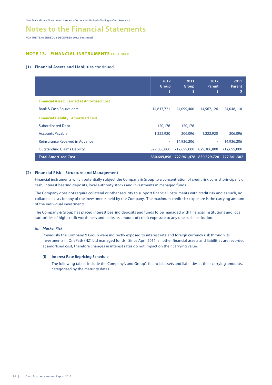## **Notes to the Financial Statements**

**FOR THE YEAR ENDED 31 DECEMBER 2012 continued**

#### **NOTE 13. FINANCIAL INSTRUMENTS** CONTINUED

#### **(1) Financial Assets and Liabilities** continued

|                                                   | 2012<br>Group<br>\$ | 2011<br>Group<br>\$                             | 2012<br><b>Parent</b><br>\$ | 2011<br>Parent<br>s |
|---------------------------------------------------|---------------------|-------------------------------------------------|-----------------------------|---------------------|
| <b>Financial Asset: Carried at Amortised Cost</b> |                     |                                                 |                             |                     |
| <b>Bank &amp; Cash Equivalents</b>                | 14,617,721          | 24,099,400                                      | 14,567,126                  | 24,048,110          |
| <b>Financial Liability: Amortised Cost</b>        |                     |                                                 |                             |                     |
| <b>Subordinated Debt</b>                          | 120,176             | 120,176                                         | $\overline{\phantom{a}}$    |                     |
| <b>Accounts Payable</b>                           | 1,222,920           | 206,096                                         | 1,222,920                   | 206,096             |
| Reinsurance Received in Advance                   | ٠                   | 14,936,206                                      | ÷                           | 14,936,206          |
| <b>Outstanding Claims Liability</b>               | 829,306,800         | 712,699,000                                     | 829,306,800                 | 712,699,000         |
| <b>Total Amortised Cost</b>                       |                     | 830,649,896 727,961,478 830,529,720 727,841,302 |                             |                     |

#### **(2) Financial Risk – Structure and Management**

Financial instruments which potentially subject the Company & Group to a concentration of credit risk consist principally of cash, interest bearing deposits, local authority stocks and investments in managed funds.

The Company does not require collateral or other security to support financial instruments with credit risk and as such, no collateral exists for any of the investments held by the Company. The maximum credit risk exposure is the carrying amount of the individual investments.

The Company & Group has placed interest bearing deposits and funds to be managed with financial institutions and local authorities of high credit worthiness and limits its amount of credit exposure to any one such institution.

#### *(a) Market Risk*

 Previously the Company & Group were indirectly exposed to interest rate and foreign currency risk through its investments in OnePath (NZ) Ltd managed funds. Since April 2011, all other financial assets and liabilities are recorded at amortised cost, therefore changes in interest rates do not impact on their carrying value.

#### **(i) Interest Rate Repricing Schedule**

 The following tables include the Company's and Group's financial assets and liabilities at their carrying amounts, categorised by the maturity dates.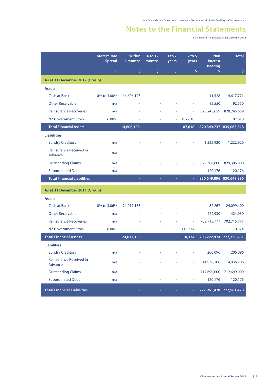**FOR THE YEAR ENDED 31 DECEMBER 2012**

|                                    | <b>Interest Rate</b><br><b>Spread</b> | Within<br>6 months | 6 to 12<br>months | $1$ to 2<br>years | $2$ to 5<br>years | <b>Non</b><br><b>Interest</b> | <b>Total</b>            |
|------------------------------------|---------------------------------------|--------------------|-------------------|-------------------|-------------------|-------------------------------|-------------------------|
|                                    | $\%$                                  | \$                 | \$                | \$                | \$                | <b>Bearing</b><br>\$          | \$                      |
| As at 31 December 2012 (Group)     |                                       |                    |                   |                   |                   |                               |                         |
| <b>Assets</b>                      |                                       |                    |                   |                   |                   |                               |                         |
| <b>Cash at Bank</b>                | 0% to 3.00%                           | 14,606,193         |                   |                   |                   | 11,528                        | 14,617,721              |
| <b>Other Receivable</b>            | n/a                                   |                    |                   |                   |                   | 92,550                        | 92,550                  |
| <b>Reinsurance Recoveries</b>      | n/a                                   |                    |                   |                   |                   | 820,245,659                   | 820,245,659             |
| <b>NZ Government Stock</b>         | 6.00%                                 |                    |                   |                   | 107,618           |                               | 107,618                 |
| <b>Total Financial Assets</b>      |                                       | 14,606,193         |                   |                   | 107,618           |                               | 820,349,737 835,063,548 |
| <b>Liabilities</b>                 |                                       |                    |                   |                   |                   |                               |                         |
| <b>Sundry Creditors</b>            | n/a                                   |                    |                   |                   |                   | 1,222,920                     | 1,222,920               |
| Reinsurance Received in<br>Advance | n/a                                   |                    |                   |                   |                   |                               |                         |
| <b>Outstanding Claims</b>          | n/a                                   |                    |                   |                   |                   | 829,306,800                   | 829,306,800             |
| <b>Subordinated Debt</b>           | n/a                                   |                    |                   |                   |                   | 120,176                       | 120,176                 |
| <b>Total Financial Liabilities</b> |                                       |                    | ÷                 | ÷                 |                   |                               | 830,649,896 830,649,896 |
| As at 31 December 2011 (Group)     |                                       |                    |                   |                   |                   |                               |                         |
| <b>Assets</b>                      |                                       |                    |                   |                   |                   |                               |                         |
| <b>Cash at Bank</b>                | 0% to 3.06%                           | 24,017,133         |                   |                   |                   | 82,267                        | 24,099,400              |
| <b>Other Receivable</b>            | n/a                                   |                    |                   |                   |                   | 424,930                       | 424,930                 |
| <b>Reinsurance Recoveries</b>      | n/a                                   |                    |                   |                   |                   | 702,715,777                   | 702,715,777             |
| <b>NZ Government Stock</b>         | 6.00%                                 |                    |                   |                   | 110,374           |                               | 110,374                 |
| <b>Total Financial Assets</b>      |                                       | 24,017,133         |                   |                   | 110,374           | 703,222,974 727,350,481       |                         |
| <b>Liabilities</b>                 |                                       |                    |                   |                   |                   |                               |                         |
| <b>Sundry Creditors</b>            | n/a                                   |                    |                   |                   |                   | 206,096                       | 206,096                 |
| Reinsurance Received in<br>Advance | n/a                                   |                    |                   |                   |                   | 14,936,206                    | 14,936,206              |
| <b>Outstanding Claims</b>          | n/a                                   |                    |                   |                   | ä,                | 712,699,000                   | 712,699,000             |
| <b>Subordinated Debt</b>           | n/a                                   |                    |                   |                   | ÷                 | 120,176                       | 120,176                 |
| <b>Total Financial Liabilities</b> |                                       |                    |                   |                   |                   |                               | 727,961,478 727,961,478 |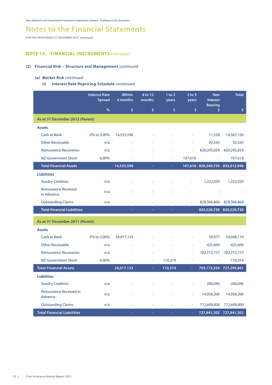## **Notes to the Financial Statements**

**FOR THE YEAR ENDED 31 DECEMBER 2012 continued**

#### **NOTE 13. FINANCIAL INSTRUMENTS** CONTINUED

#### **(2) Financial Risk – Structure and Management** continued

#### *(a) Market Risk continued*

 **(i) Interest Rate Repricing Schedule** continued

|                                           | <b>Interest Rate</b><br><b>Spread</b> | <b>Within</b><br>6 months | 6 to 12<br>months | $1$ to $2$<br>years | $2$ to 5<br>years | <b>Non</b><br><b>Interest</b><br><b>Bearing</b> | <b>Total</b>            |
|-------------------------------------------|---------------------------------------|---------------------------|-------------------|---------------------|-------------------|-------------------------------------------------|-------------------------|
|                                           | %                                     | \$                        | \$                | \$                  | \$                | \$                                              | \$                      |
| As at 31 December 2012 (Parent)           |                                       |                           |                   |                     |                   |                                                 |                         |
| <b>Assets</b>                             |                                       |                           |                   |                     |                   |                                                 |                         |
| <b>Cash at Bank</b>                       | 0% to 3.00%                           | 14,555,598                |                   |                     |                   | 11,528                                          | 14,567,126              |
| <b>Other Receivable</b>                   | n/a                                   |                           |                   |                     |                   | 92,543                                          | 92,543                  |
| <b>Reinsurance Recoveries</b>             | n/a                                   |                           |                   |                     |                   | 820,245,659                                     | 820,245,659             |
| <b>NZ Government Stock</b>                | 6.00%                                 |                           |                   | ä,                  | 107,618           |                                                 | 107,618                 |
| <b>Total Financial Assets</b>             |                                       | 14,555,598                | $\equiv$          | ä,                  |                   | 107,618 820,349,730 835,012,946                 |                         |
| <b>Liabilities</b>                        |                                       |                           |                   |                     |                   |                                                 |                         |
| <b>Sundry Creditors</b>                   | n/a                                   |                           |                   |                     | ÷,                | 1,222,920                                       | 1,222,920               |
| <b>Reinsurance Received</b><br>in Advance | n/a                                   |                           |                   |                     |                   |                                                 |                         |
| <b>Outstanding Claims</b>                 | n/a                                   |                           |                   |                     | ä,                | 829,306,800                                     | 829,306,800             |
| <b>Total Financial Liabilities</b>        |                                       |                           |                   |                     |                   |                                                 | 830,529,720 830,529,720 |
| As at 31 December 2011 (Parent)           |                                       |                           |                   |                     |                   |                                                 |                         |
| <b>Assets</b>                             |                                       |                           |                   |                     |                   |                                                 |                         |
| <b>Cash at Bank</b>                       | 0% to 3.06%                           | 24,017,133                |                   |                     |                   | 30,977                                          | 24,048,110              |
| <b>Other Receivable</b>                   | n/a                                   |                           |                   |                     |                   | 425,600                                         | 425,600                 |
| <b>Reinsurance Recoveries</b>             | n/a                                   |                           |                   |                     |                   | 702,715,777                                     | 702,715,777             |
| NZ Government Stock                       | 6.00%                                 |                           | $\equiv$          | 110,374             | ä,                |                                                 | 110,374                 |
| <b>Total Financial Assets</b>             |                                       | 24,017,133                | ÷.                | 110,374             | $\omega$          |                                                 | 703,172,354 727,299,861 |
| <b>Liabilities</b>                        |                                       |                           |                   |                     |                   |                                                 |                         |
| <b>Sundry Creditors</b>                   | n/a                                   |                           |                   |                     |                   | 206,096                                         | 206,096                 |
| Reinsurance Received in<br>Advance        | n/a                                   |                           |                   |                     |                   | 14,936,206                                      | 14,936,206              |
| <b>Outstanding Claims</b>                 | n/a                                   |                           |                   |                     | ÷                 | 712,699,000                                     | 712,699,000             |
| <b>Total Financial Liabilities</b>        |                                       |                           |                   |                     |                   |                                                 | 727,841,302 727,841,302 |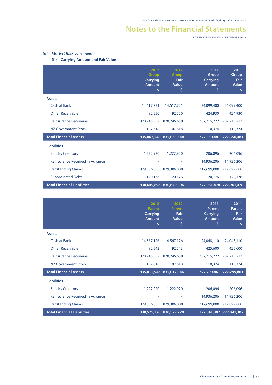**FOR THE YEAR ENDED 31 DECEMBER 2012**

#### *(a) Market Risk continued*

#### **(ii) Carrying Amount and Fair Value**

|                                    | 2012<br>Group<br><b>Carrying</b><br><b>Amount</b><br>\$ | 2012<br>Group<br><b>Fair</b><br>Value<br>\$ | 2011<br>Group<br>Carrying<br><b>Amount</b><br>\$ | 2011<br>Group<br><b>Fair</b><br>Value<br>\$ |
|------------------------------------|---------------------------------------------------------|---------------------------------------------|--------------------------------------------------|---------------------------------------------|
| <b>Assets</b>                      |                                                         |                                             |                                                  |                                             |
| Cash at Bank                       | 14,617,721                                              | 14,617,721                                  | 24,099,400                                       | 24,099,400                                  |
| <b>Other Receivable</b>            | 92,550                                                  | 92,550                                      | 424,930                                          | 424,930                                     |
| <b>Reinsurance Recoveries</b>      | 820,245,659                                             | 820,245,659                                 | 702,715,777                                      | 702,715,777                                 |
| NZ Government Stock                | 107,618                                                 | 107,618                                     | 110,374                                          | 110,374                                     |
| <b>Total Financial Assets</b>      |                                                         | 835,063,548 835,063,548                     | 727,350,481                                      | 727,350,481                                 |
| <b>Liabilities</b>                 |                                                         |                                             |                                                  |                                             |
| <b>Sundry Creditors</b>            | 1,222,920                                               | 1,222,920                                   | 206.096                                          | 206.096                                     |
| Reinsurance Received in Advance    | ۰                                                       | ٠                                           | 14,936,206                                       | 14,936,206                                  |
| <b>Outstanding Claims</b>          | 829,306,800                                             | 829,306,800                                 | 712,699,000                                      | 712,699,000                                 |
| <b>Subordinated Debt</b>           | 120,176                                                 | 120,176                                     | 120,176                                          | 120,176                                     |
| <b>Total Financial Liabilities</b> |                                                         | 830,649,896 830,649,896                     |                                                  | 727,961,478 727,961,478                     |

|                                    | 2012<br><b>Parent</b><br><b>Carrying</b><br><b>Amount</b><br>\$ | 2012<br>Parent<br>Fair<br>Value<br>\$ | 2011<br>Parent<br>Carrying<br><b>Amount</b><br>\$ | 2011<br><b>Parent</b><br>Fair<br>Value<br>\$ |
|------------------------------------|-----------------------------------------------------------------|---------------------------------------|---------------------------------------------------|----------------------------------------------|
| <b>Assets</b>                      |                                                                 |                                       |                                                   |                                              |
| Cash at Bank                       | 14,567,126                                                      | 14,567,126                            | 24,048,110                                        | 24,048,110                                   |
| <b>Other Receivable</b>            | 92,543                                                          | 92,543                                | 425,600                                           | 425,600                                      |
| <b>Reinsurance Recoveries</b>      | 820,245,659                                                     | 820,245,659                           | 702,715,777                                       | 702,715,777                                  |
| NZ Government Stock                | 107,618                                                         | 107,618                               | 110,374                                           | 110,374                                      |
| <b>Total Financial Assets</b>      |                                                                 | 835,012,946 835,012,946               |                                                   | 727,299,861 727,299,861                      |
| <b>Liabilities</b>                 |                                                                 |                                       |                                                   |                                              |
| <b>Sundry Creditors</b>            | 1,222,920                                                       | 1,222,920                             | 206,096                                           | 206,096                                      |
| Reinsurance Received in Advance    |                                                                 | ٠                                     | 14,936,206                                        | 14,936,206                                   |
| <b>Outstanding Claims</b>          | 829,306,800                                                     | 829,306,800                           | 712,699,000                                       | 712,699,000                                  |
| <b>Total Financial Liabilities</b> |                                                                 | 830,529,720 830,529,720               |                                                   | 727,841,302 727,841,302                      |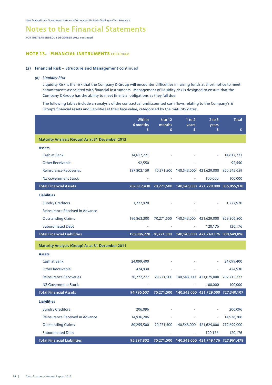## **Notes to the Financial Statements**

**FOR THE YEAR ENDED 31 DECEMBER 2012 continued**

#### **NOTE 13. FINANCIAL INSTRUMENTS** CONTINUED

#### **(2) Financial Risk – Structure and Management** continued

#### *(b) Liquidity Risk*

 Liquidity Risk is the risk that the Company & Group will encounter difficulties in raising funds at short notice to meet commitments associated with financial instruments. Management of liquidity risk is designed to ensure that the Company & Group has the ability to meet financial obligations as they fall due.

 The following tables include an analysis of the contractual undiscounted cash flows relating to the Company's & Group's financial assets and liabilities at their face value, categorised by the maturity dates.

|                                                         | <b>Within</b><br>6 months<br>\$ | 6 to 12<br>months<br>\$ | $1$ to $2$<br>years<br>\$                      | $2$ to 5<br>years<br>\$             | <b>Total</b><br>\$                                         |
|---------------------------------------------------------|---------------------------------|-------------------------|------------------------------------------------|-------------------------------------|------------------------------------------------------------|
| <b>Maturity Analysis (Group) As at 31 December 2012</b> |                                 |                         |                                                |                                     |                                                            |
| <b>Assets</b>                                           |                                 |                         |                                                |                                     |                                                            |
| <b>Cash at Bank</b>                                     | 14,617,721                      |                         |                                                |                                     | 14,617,721                                                 |
| <b>Other Receivable</b>                                 | 92,550                          |                         |                                                |                                     | 92,550                                                     |
| <b>Reinsurance Recoveries</b>                           | 187,802,159                     |                         | 70,271,500 140,543,000 421,629,000 820,245,659 |                                     |                                                            |
| <b>NZ Government Stock</b>                              |                                 |                         |                                                | 100,000                             | 100,000                                                    |
| <b>Total Financial Assets</b>                           |                                 |                         |                                                |                                     | 202,512,430 70,271,500 140,543,000 421,729,000 835,055,930 |
| <b>Liabilities</b>                                      |                                 |                         |                                                |                                     |                                                            |
| <b>Sundry Creditors</b>                                 | 1,222,920                       |                         |                                                |                                     | 1,222,920                                                  |
| <b>Reinsurance Received in Advance</b>                  |                                 |                         |                                                |                                     |                                                            |
| <b>Outstanding Claims</b>                               | 196,863,300                     | 70,271,500              |                                                | 140,543,000 421,629,000 829,306,800 |                                                            |
| <b>Subordinated Debt</b>                                |                                 |                         |                                                | 120,176                             | 120,176                                                    |
| <b>Total Financial Liabilities</b>                      | 198,086,220 70,271,500          |                         |                                                | 140,543,000 421,749,176 830,649,896 |                                                            |
| <b>Maturity Analysis (Group) As at 31 December 2011</b> |                                 |                         |                                                |                                     |                                                            |
| <b>Assets</b>                                           |                                 |                         |                                                |                                     |                                                            |
| <b>Cash at Bank</b>                                     | 24,099,400                      |                         |                                                |                                     | 24,099,400                                                 |
| <b>Other Receivable</b>                                 | 424,930                         |                         |                                                |                                     | 424,930                                                    |
| <b>Reinsurance Recoveries</b>                           | 70,272,277                      |                         | 70,271,500 140,543,000 421,629,000             |                                     | 702,715,777                                                |
| <b>NZ Government Stock</b>                              |                                 |                         |                                                | 100,000                             | 100,000                                                    |
| <b>Total Financial Assets</b>                           | 94,796,607                      |                         | 70,271,500 140,543,000 421,729,000 727,340,107 |                                     |                                                            |
| <b>Liabilities</b>                                      |                                 |                         |                                                |                                     |                                                            |
|                                                         |                                 |                         |                                                |                                     |                                                            |
| <b>Sundry Creditors</b>                                 | 206,096                         |                         |                                                |                                     | 206,096                                                    |
| Reinsurance Received in Advance                         | 14,936,206                      |                         |                                                |                                     | 14,936,206                                                 |
| <b>Outstanding Claims</b>                               | 80,255,500                      |                         | 70,271,500 140,543,000 421,629,000             |                                     | 712,699,000                                                |
| <b>Subordinated Debt</b>                                |                                 |                         |                                                | 120,176                             | 120,176                                                    |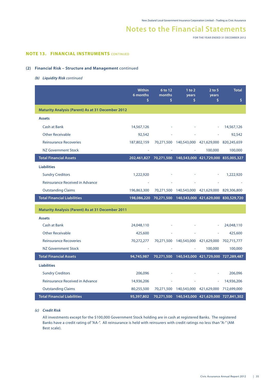**FOR THE YEAR ENDED 31 DECEMBER 2012**

#### **NOTE 13. FINANCIAL INSTRUMENTS** CONTINUED

#### **(2) Financial Risk – Structure and Management** continued

*(b) Liquidity Risk continued*

|                                                          | Within<br>6 months<br>\$ | 6 to 12<br>months<br>\$ | $1$ to $2$<br>years<br>\$                      | $2$ to 5<br>years<br>\$ | <b>Total</b><br>\$                                         |
|----------------------------------------------------------|--------------------------|-------------------------|------------------------------------------------|-------------------------|------------------------------------------------------------|
| <b>Maturity Analysis (Parent) As at 31 December 2012</b> |                          |                         |                                                |                         |                                                            |
| <b>Assets</b>                                            |                          |                         |                                                |                         |                                                            |
| <b>Cash at Bank</b>                                      | 14,567,126               |                         |                                                |                         | 14,567,126                                                 |
| <b>Other Receivable</b>                                  | 92,542                   |                         |                                                |                         | 92,542                                                     |
| <b>Reinsurance Recoveries</b>                            | 187,802,159              |                         | 70,271,500 140,543,000 421,629,000 820,245,659 |                         |                                                            |
| <b>NZ Government Stock</b>                               |                          |                         |                                                | 100,000                 | 100,000                                                    |
| <b>Total Financial Assets</b>                            |                          |                         |                                                |                         | 202,461,827 70,271,500 140,543,000 421,729,000 835,005,327 |
| <b>Liabilities</b>                                       |                          |                         |                                                |                         |                                                            |
| <b>Sundry Creditors</b>                                  | 1,222,920                |                         |                                                |                         | 1,222,920                                                  |
| Reinsurance Received in Advance                          |                          |                         |                                                |                         |                                                            |
| <b>Outstanding Claims</b>                                | 196,863,300              |                         | 70,271,500 140,543,000 421,629,000 829,306,800 |                         |                                                            |
| <b>Total Financial Liabilities</b>                       |                          |                         |                                                |                         | 198,086,220 70,271,500 140,543,000 421,629,000 830,529,720 |
| <b>Maturity Analysis (Parent) As at 31 December 2011</b> |                          |                         |                                                |                         |                                                            |
| <b>Assets</b>                                            |                          |                         |                                                |                         |                                                            |
| <b>Cash at Bank</b>                                      | 24,048,110               |                         |                                                |                         | 24,048,110                                                 |
| <b>Other Receivable</b>                                  | 425,600                  |                         |                                                |                         | 425,600                                                    |
| <b>Reinsurance Recoveries</b>                            | 70,272,277               |                         | 70,271,500 140,543,000 421,629,000 702,715,777 |                         |                                                            |
| <b>NZ Government Stock</b>                               |                          |                         |                                                | 100,000                 | 100,000                                                    |
| <b>Total Financial Assets</b>                            | 94,745,987               |                         | 70,271,500 140,543,000 421,729,000 727,289,487 |                         |                                                            |
| <b>Liabilities</b>                                       |                          |                         |                                                |                         |                                                            |
| <b>Sundry Creditors</b>                                  | 206,096                  |                         |                                                |                         | 206,096                                                    |
| <b>Reinsurance Received in Advance</b>                   | 14,936,206               |                         |                                                |                         | 14,936,206                                                 |
| <b>Outstanding Claims</b>                                | 80,255,500               |                         | 70,271,500 140,543,000 421,629,000 712,699,000 |                         |                                                            |
| <b>Total Financial Liabilities</b>                       | 95,397,802               |                         | 70,271,500 140,543,000 421,629,000 727,841,302 |                         |                                                            |

#### *(c) Credit Risk*

 All investments except for the \$100,000 Government Stock holding are in cash at registered Banks. The registered Banks have a credit rating of "AA-". All reinsurance is held with reinsurers with credit ratings no less than "A-" (AM Best scale). The set of the set of the set of the set of the set of the set of the set of the set of the set of the set of the set of the set of the set of the set of the set of the set of the set of the set of the set of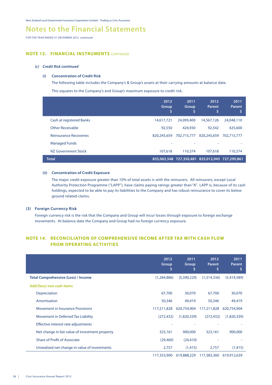## **Notes to the Financial Statements**

**FOR THE YEAR ENDED 31 DECEMBER 2012 continued**

#### **NOTE 13. FINANCIAL INSTRUMENTS** CONTINUED

#### *(c) Credit Risk continued*

#### **(i) Concentration of Credit Risk**

The following table includes the Company's & Group's assets at their carrying amounts at balance date.

This equates to the Company's and Group's maximum exposure to credit risk.

|                                 | 2012<br>Group<br>s | 2011<br>Group<br>S                              | 2012<br>Parent<br>'\$ | 2011<br>Parent<br>S |
|---------------------------------|--------------------|-------------------------------------------------|-----------------------|---------------------|
| <b>Cash at registered Banks</b> | 14,617,721         | 24,099,400                                      | 14,567,126            | 24,048,110          |
| <b>Other Receivable</b>         | 92,550             | 424,930                                         | 92,542                | 425,600             |
| <b>Reinsurance Recoveries</b>   | 820,245,659        | 702.715.777                                     | 820,245,659           | 702.715.777         |
| <b>Managed Funds</b>            |                    |                                                 |                       |                     |
| NZ Government Stock             | 107,618            | 110,374                                         | 107,618               | 110,374             |
| <b>Total</b>                    |                    | 835,063,548 727,350,481 835,012,945 727,299,861 |                       |                     |

#### **(ii) Concentration of Credit Exposure**

 The major credit exposure greater than 10% of total assets is with the reinsurers. All reinsurers, except Local Authority Protection Programme ("LAPP"), have claims paying ratings greater than "A". LAPP is, because of its cash holdings, expected to be able to pay its liabilities to the Company and has robust reinsurance to cover its below ground related claims.

#### **(3) Foreign Currency Risk**

Foreign currency risk is the risk that the Company and Group will incur losses through exposure to foreign exchange movements. At balance date the Company and Group had no foreign currency exposure.

#### **NOTE 14. RECONCILIATION OF COMPREHENSIVE INCOME AFTER TAX WITH CASH FLOW FROM OPERATING ACTIVITIES**

|                                                 | 2012<br>Group<br>Ş | 2011<br>Group<br>Ş | 2012<br><b>Parent</b><br>\$ | 2011<br><b>Parent</b><br>\$ |
|-------------------------------------------------|--------------------|--------------------|-----------------------------|-----------------------------|
| <b>Total Comprehensive (Loss) / Income</b>      | (1,284,886)        | (5,390,229)        | (1,314,336)                 | (5,414,589)                 |
| Add/(less) non cash items                       |                    |                    |                             |                             |
| Depreciation                                    | 67,700             | 30,070             | 67,700                      | 30,070                      |
| Amortisation                                    | 50,346             | 49,419             | 50,346                      | 49,419                      |
| <b>Movement in Insurance Provisions</b>         | 117,211,828        | 620,754,904        | 117,211,828                 | 620,754,904                 |
| <b>Movement in Deferred Tax Liability</b>       | (272, 432)         | (1,820,339)        | (272, 432)                  | (1,820,339)                 |
| Effective interest rate adjustments             |                    | ۰                  |                             |                             |
| Net change in fair value of investment property | 323,161            | 900,000            | 323,161                     | 900,000                     |
| <b>Share of Profit of Associate</b>             | (29, 460)          | (24, 410)          |                             |                             |
| Unrealised net change in value of investments   | 2,757              | (1, 415)           | 2,757                       | (1, 415)                    |
|                                                 | 117,353,900        | 619,888,229        | 117,383,360                 | 619,912,639                 |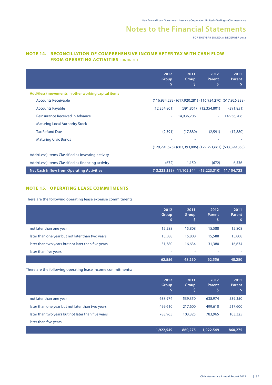**FOR THE YEAR ENDED 31 DECEMBER 2012**

#### **NOTE 14. RECONCILIATION OF COMPREHENSIVE INCOME AFTER TAX WITH CASH FLOW FROM OPERATING ACTIVITIES** CONTINUED

|                                                     | 2012<br>Group<br>S       | 2011<br>Group<br>s | 2012<br><b>Parent</b><br>s                                      | 2011<br><b>Parent</b><br>s |
|-----------------------------------------------------|--------------------------|--------------------|-----------------------------------------------------------------|----------------------------|
| Add/(less) movements in other working capital items |                          |                    |                                                                 |                            |
| <b>Accounts Receivable</b>                          |                          |                    | $(116,934,283)$ $(617,920,281)$ $(116,934,270)$ $(617,926,338)$ |                            |
| <b>Accounts Payable</b>                             | (12,354,801)             |                    | $(391,851)$ $(12,354,801)$                                      | (391, 851)                 |
| Reinsurance Received in Advance                     | $\overline{\phantom{a}}$ | 14,936,206         | ÷                                                               | 14,936,206                 |
| <b>Maturing Local Authority Stock</b>               |                          |                    |                                                                 |                            |
| <b>Tax Refund Due</b>                               | (2,591)                  | (17,880)           | (2,591)                                                         | (17,880)                   |
| <b>Maturing Civic Bonds</b>                         |                          |                    |                                                                 |                            |
|                                                     |                          |                    | $(129,291,675)$ $(603,393,806)$ $(129,291,662)$ $(603,399,863)$ |                            |
| Add/(Less) Items Classified as investing activity   |                          |                    |                                                                 |                            |
| Add/(Less) Items Classified as financing activity   | (672)                    | 1,150              | (672)                                                           | 6,536                      |
| <b>Net Cash Inflow from Operating Activities</b>    | (13, 223, 333)           | 11,105,344         | (13, 223, 310)                                                  | 11,104,723                 |

#### **NOTE 15. OPERATING LEASE COMMITMENTS**

There are the following operating lease expense commitments:

|                                                    | 2012<br>Group<br>I\$, | 2011<br>Group<br>\$ | 2012<br><b>Parent</b><br>\$ | 2011<br>Parent |
|----------------------------------------------------|-----------------------|---------------------|-----------------------------|----------------|
| not later than one year                            | 15,588                | 15,808              | 15,588                      | 15,808         |
| later than one year but not later than two years   | 15,588                | 15,808              | 15,588                      | 15,808         |
| later than two years but not later than five years | 31,380                | 16,634              | 31,380                      | 16,634         |
| later than five years                              | ٠                     | ٠                   | ٠                           | ۰              |
|                                                    | 62,556                | 48,250              | 62,556                      | 48,250         |

There are the following operating lease income commitments:

|                                                    | 2012<br><b>Group</b><br>'S | 2011<br>Group<br>\$ | 2012<br><b>Parent</b><br>\$ | 2011<br><b>Parent</b> |
|----------------------------------------------------|----------------------------|---------------------|-----------------------------|-----------------------|
| not later than one year                            | 638,974                    | 539,350             | 638,974                     | 539,350               |
| later than one year but not later than two years   | 499,610                    | 217,600             | 499,610                     | 217,600               |
| later than two years but not later than five years | 783,965                    | 103,325             | 783,965                     | 103,325               |
| later than five years                              | ٠                          | ٠                   | $\overline{\phantom{a}}$    |                       |
|                                                    | 1,922,549                  | 860,275             | 1,922,549                   | 860,275               |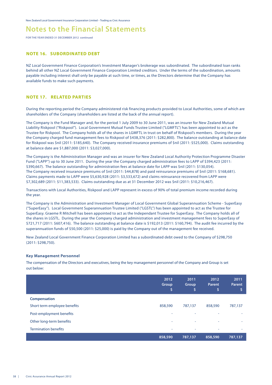**FOR THE YEAR ENDED 31 DECEMBER 2012 continued**

#### **NOTE 16. SUBORDINATED DEBT**

NZ Local Government Finance Corporation's Investment Manager's brokerage was subordinated. The subordinated loan ranks behind all other NZ Local Government Finance Corporation Limited creditors. Under the terms of the subordination, amounts payable including interest shall only be payable at such time, or times, as the Directors determine that the Company has available funds to make such payments.

#### **NOTE 17. RELATED PARTIES**

During the reporting period the Company administered risk financing products provided to Local Authorities, some of which are shareholders of the Company (shareholders are listed at the back of the annual report).

The Company is the Fund Manager and, for the period 1 July 2009 to 30 June 2011, was an insurer for New Zealand Mutual Liability Riskpool ("Riskpool"). Local Government Mutual Funds Trustee Limited ("LGMFTL") has been appointed to act as the Trustee for Riskpool. The Company holds all of the shares in LGMFTL in trust on behalf of Riskpool's members. During the year the Company charged fund management fees to Riskpool of \$438,376 (2011: \$282,800). The balance outstanding at balance date for Riskpool was \$nil (2011: \$185,640). The Company received insurance premiums of \$nil (2011: \$525,000). Claims outstanding at balance date are \$1,887,000 (2011: \$3,027,000).

The Company is the Administration Manager and was an insurer for New Zealand Local Authority Protection Programme Disaster Fund ("LAPP") up to 30 June 2011. During the year the Company charged administration fees to LAPP of \$394,423 (2011: \$390,667). The balance outstanding for administration fees at balance date for LAPP was \$nil (2011: \$130,054). The Company received insurance premiums of \$nil (2011: \$44,878) and paid reinsurance premiums of \$nil (2011: \$168,681). Claims payments made to LAPP were \$5,630,928 (2011: \$3,533,672) and claims reinsurance recovered from LAPP were \$7,302,689 (2011: \$11,383,533). Claims outstanding due as at 31 December 2012 was \$nil (2011: \$10,216,467).

Transactions with Local Authorities, Riskpool and LAPP represent in excess of 90% of total premium income recorded during the year.

The Company is the Administration and Investment Manager of Local Government Global Superannuation Scheme - SuperEasy ("SuperEasy"). Local Government Superannuation Trustee Limited ("LGSTL") has been appointed to act as the Trustee for SuperEasy. Graeme R Mitchell has been appointed to act as the Independant Trustee for SuperEasy. The Company holds all of the shares in LGSTL. During the year the Company charged administration and investment management fees to SuperEasy of \$721,717 (2011: \$607,416). The balance outstanding at balance date is \$192,013 (2011: \$160,794). The audit fee incurred by the superannuation funds of \$50,500 (2011: \$25,000) is paid by the Company out of the management fee received.

New Zealand Local Government Finance Corporation Limited has a subordinated debt owed to the Company of \$298,750 (2011: \$298,750).

#### **Key Management Personnel**

The compensation of the Directors and executives, being the key management personnel of the Company and Group is set out below:

|                              | 2012<br>Group<br>Ŝ, | 2011<br>Group<br>\$ | 2012<br>Parent<br>\$ | 2011<br>Parent<br>\$ |
|------------------------------|---------------------|---------------------|----------------------|----------------------|
| <b>Compensation</b>          |                     |                     |                      |                      |
| Short term employee benefits | 858,590             | 787,137             | 858,590              | 787,137              |
| Post-employment benefits     |                     |                     | ۰                    | ۰                    |
| Other long-term benefits     | ٠                   | ٠                   | $\sim$               | ٠                    |
| <b>Termination benefits</b>  | ۰                   | ٠                   | ٠                    | ٠                    |
|                              | 858,590             | 787,137             | 858,590              | 787,137              |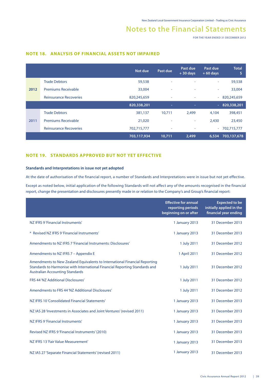**FOR THE YEAR ENDED 31 DECEMBER 2012**

|      |                               | Not due     | Past due | Past due<br>$+30$ days | Past due<br>$+60$ days | <b>Total</b><br>\$ |
|------|-------------------------------|-------------|----------|------------------------|------------------------|--------------------|
|      | <b>Trade Debtors</b>          | 59,538      | ٠        | ۰                      | ٠                      | 59,538             |
| 2012 | <b>Premiums Receivable</b>    | 33,004      | ٠        | ٠                      | ٠                      | 33,004             |
|      | <b>Reinsurance Recoveries</b> | 820,245,659 | ٠        | ٠                      | ÷                      | 820,245,659        |
|      |                               | 820,338,201 | $\sim$   | $\sim$                 | $\equiv$               | 820,338,201        |
|      | <b>Trade Debtors</b>          | 381,137     | 10,711   | 2,499                  | 4.104                  | 398,451            |
| 2011 | <b>Premiums Receivable</b>    | 21,020      | ۰        | ٠                      | 2,430                  | 23,450             |
|      | <b>Reinsurance Recoveries</b> | 702,715,777 | ٠        | ٠                      | $\equiv$               | 702,715,777        |
|      |                               | 703,117,934 | 10,711   | 2,499                  | 6,534                  | 703,137,678        |

#### **NOTE 18. ANALYSIS OF FINANCIAL ASSETS NOT IMPAIRED**

#### **NOTE 19. STANDARDS APPROVED BUT NOT YET EFFECTIVE**

#### **Standards and Interpretations in issue not yet adopted**

At the date of authorisation of the financial report, a number of Standards and Interpretations were in issue but not yet effective.

Except as noted below, initial application of the following Standards will not affect any of the amounts recognised in the financial report, change the presentation and disclosures presently made in or relation to the Company's and Group's financial report:

|                                                                                                                                                                                                     | <b>Effective for annual</b><br>reporting periods<br>beginning on or after | <b>Expected to be</b><br>initially applied in the<br>financial year ending |
|-----------------------------------------------------------------------------------------------------------------------------------------------------------------------------------------------------|---------------------------------------------------------------------------|----------------------------------------------------------------------------|
| NZ IFRS 9'Financial Instruments'                                                                                                                                                                    | 1 January 2013                                                            | 31 December 2013                                                           |
| * Revised NZ IFRS 9 'Financial Instruments'                                                                                                                                                         | 1 January 2013                                                            | 31 December 2013                                                           |
| Amendments to NZ IFRS 7 'Financial Instruments: Disclosures'                                                                                                                                        | 1 July 2011                                                               | 31 December 2012                                                           |
| Amendments to NZ IFRS 7 - Appendix E                                                                                                                                                                | 1 April 2011                                                              | 31 December 2012                                                           |
| Amendments to New Zealand Equivalents to International Financial Reporting<br>Standards to Harmonise with International Financial Reporting Standards and<br><b>Australian Accounting Standards</b> | 1 July 2011                                                               | 31 December 2012                                                           |
| FRS 44 'NZ Additional Disclosures'                                                                                                                                                                  | 1 July 2011                                                               | 31 December 2012                                                           |
| Amendments to FRS 44 'NZ Additional Disclosures'                                                                                                                                                    | 1 July 2011                                                               | 31 December 2012                                                           |
| NZ IFRS 10 'Consolidated Financial Statements'                                                                                                                                                      | 1 January 2013                                                            | 31 December 2013                                                           |
| NZ IAS 28 'Investments in Associates and Joint Ventures' (revised 2011)                                                                                                                             | 1 January 2013                                                            | 31 December 2013                                                           |
| NZ IFRS 9'Financial Instruments'                                                                                                                                                                    | 1 January 2013                                                            | 31 December 2013                                                           |
| Revised NZ IFRS 9'Financial Instruments' (2010)                                                                                                                                                     | 1 January 2013                                                            | 31 December 2013                                                           |
| NZ IFRS 13 'Fair Value Measurement'                                                                                                                                                                 | 1 January 2013                                                            | 31 December 2013                                                           |
| NZ IAS 27 'Separate Financial Statements' (revised 2011)                                                                                                                                            | 1 January 2013                                                            | 31 December 2013                                                           |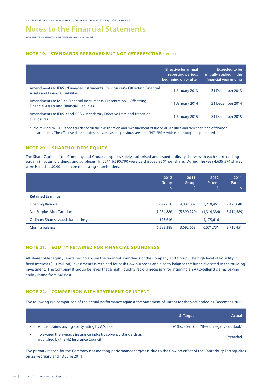**FOR THE YEAR ENDED 31 DECEMBER 2012 continued**

#### **NOTE 19. STANDARDS APPROVED BUT NOT YET EFFECTIVE** CONTINUED

|                                                                                                                              | <b>Effective for annual</b><br>reporting periods<br>beginning on or after | <b>Expected to be</b><br>initially applied in the<br>financial year ending |
|------------------------------------------------------------------------------------------------------------------------------|---------------------------------------------------------------------------|----------------------------------------------------------------------------|
| Amendments to IFRS 7 'Financial Instruments : Disclosures' - Offsetting Financial<br><b>Assets and Financial Liabilities</b> | 1 January 2013                                                            | 31 December 2013                                                           |
| Amendments to IAS 32 'Financial Instruments: Presentation' – Offsetting<br><b>Financial Assets and Financial Liabilities</b> | 1 January 2014                                                            | 31 December 2014                                                           |
| Amendments to IFRS 9 and IFRS 7 Mandatory Effective Date and Transition<br><b>Disclosures</b>                                | 1 January 2015                                                            | 31 December 2015                                                           |

\* the revised NZ IFRS 9 adds guidance on the classification and measurement of financial liabilities and derecognition of financial instruments. The effective date remains the same as the previous version of NZ IFRS 9, with earlier adoption permitted.

#### **NOTE 20. SHAREHOLDERS EQUITY**

The Share Capital of the Company and Group comprises solely authorised and issued ordinary shares with each share ranking equally in votes, dividends and surpluses. In 2011 6,390,790 were paid issued at \$1 per share. During the year 4,639,574 shares were issued at \$0.90 per share to existing shareholders.

|                                        | 2012<br><b>Group</b><br>'S | 2011<br>Group<br>Ś | 2012<br><b>Parent</b><br>\$ | 2011<br>Parent |
|----------------------------------------|----------------------------|--------------------|-----------------------------|----------------|
| <b>Retained Earnings</b>               |                            |                    |                             |                |
| <b>Opening Balance</b>                 | 3,692,658                  | 9,082,887          | 3,710,451                   | 9,125,040      |
| <b>Net Surplus After Taxation</b>      | (1, 284, 886)              | (5,390,229)        | (1,314,336)                 | (5,414,589)    |
| Ordinary Shares issued during the year | 4,175,616                  | $\sim$             | 4,175,616                   | -              |
| Closing balance                        | 6,583,388                  | 3,692,658          | 6,571,731                   | 3,710,451      |

#### **NOTE 21. EQUITY RETAINED FOR FINANCIAL SOUNDNESS**

All shareholder equity is retained to ensure the financial soundness of the Company and Group. The high level of liquidity in fixed interest (\$9.1 million) investments is retained for cash flow purposes and also to balance the funds allocated in the building investment. The Company & Group believes that a high liquidity ratio is necessary for attaining an A (Excellent) claims paying ability rating from AM Best.

#### **NOTE 22. COMPARISON WITH STATEMENT OF INTENT**

The following is a comparison of the actual performance against the Statement of Intent for the year ended 31 December 2012.

|                                                                                                         | <b>SI Target</b> | Actual                    |
|---------------------------------------------------------------------------------------------------------|------------------|---------------------------|
| Annual claims paying ability rating by AM Best                                                          | "A" (Excellent)  | "B++ u, negative outlook" |
| To exceed the average insurance industry solvency standards as<br>published by the NZ Insurance Council |                  | <b>Exceeded</b>           |

The primary reason for the Company not meeting performance targets is due to the flow on effect of the Canterbury Earthquakes on 22 February and 13 June 2011.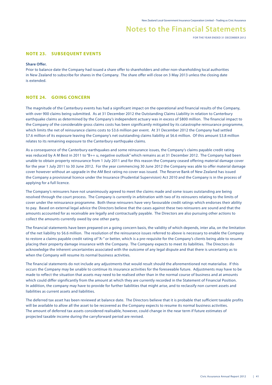**FOR THE YEAR ENDED 31 DECEMBER 2012**

#### **NOTE 23. SUBSEQUENT EVENTS**

#### **Share Offer.**

Prior to balance date the Company had issued a share offer to shareholders and other non-shareholding local authorities in New Zealand to subscribe for shares in the Company. The share offer will close on 3 May 2013 unless the closing date is extended.

#### **NOTE 24. GOING CONCERN**

The magnitude of the Canterbury events has had a significant impact on the operational and financial results of the Company, with over 900 claims being submitted. As at 31 December 2012 the Outstanding Claims Liability in relation to Canterbury earthquake claims as determined by the Company's independent actuary was in excess of \$800 million. The financial impact to the Company of the considerable gross claims costs has been significantly mitigated by its catastrophe reinsurance programme, which limits the net of reinsurance claims costs to \$3.6 million per event. At 31 December 2012 the Company had settled \$7.6 million of its exposure leaving the Company's net outstanding claims liability at \$6.6 million. Of this amount \$3.8 million relates to its remaining exposure to the Canterbury earthquake claims.

As a consequence of the Canterbury earthquakes and some reinsurance issues, the Company's claims payable credit rating was reduced by A M Best in 2011 to "B++ u, negative outlook" which remains as at 31 December 2012. The Company had been unable to obtain property reinsurance from 1 July 2011 and for this reason the Company ceased offering material damage cover for the year 1 July 2011 to 30 June 2012. For the year commencing 30 June 2012 the Company was able to offer material damage cover however without an upgrade in the AM Best rating no cover was issued. The Reserve Bank of New Zealand has issued the Company a provisional licence under the Insurance (Prudential Supervision) Act 2010 and the Company is in the process of applying for a full licence.

The Company's reinsurers have not unanimously agreed to meet the claims made and some issues outstanding are being resolved through the court process. The Company is currently in arbitration with two of its reinsurers relating to the limits of cover under the reinsurance programme. Both these reinsurers have very favourable credit ratings which endorses their ability to pay. Based on external legal advice the Directors believe that the cases against these two reinsurers are sound and that the amounts accounted for as receivable are legally and contractually payable. The Directors are also pursuing other actions to collect the amounts currently owed by one other party.

The financial statements have been prepared on a going concern basis, the validity of which depends, inter alia, on the limitation of the net liability to \$6.6 million. The resolution of the reinsurance issues referred to above is necessary to enable the Company to restore a claims payable credit rating of "A-" or better, which is a pre-requisite for the Company's clients being able to resume placing their property damage insurance with the Company. The Company expects to meet its liabilities. The Directors do acknowledge the inherent uncertainties associated with the outcome of any legal dispute and that there is uncertainty as to when the Company will resume its normal business activities.

The financial statements do not include any adjustments that would result should the aforementioned not materialise. If this occurs the Company may be unable to continue its insurance activities for the foreseeable future. Adjustments may have to be made to reflect the situation that assets may need to be realised other than in the normal course of business and at amounts which could differ significantly from the amount at which they are currently recorded in the Statement of Financial Position. In addition, the company may have to provide for further liabilities that might arise, and to reclassify non current assets and liabilities as current assets and liabilities.

The deferred tax asset has been reviewed at balance date. The Directors believe that it is probable that sufficient taxable profits will be available to allow all the asset to be recovered as the Company expects to resume its normal business activities. The amount of deferred tax assets considered realisable, however, could change in the near term if future estimates of projected taxable income during the carryforward period are revised.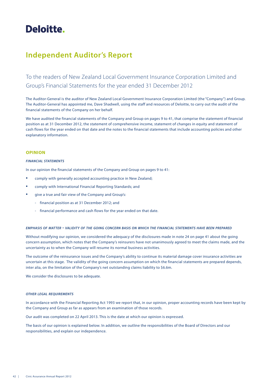# **Deloitte.**

## **Independent Auditor's Report**

To the readers of New Zealand Local Government Insurance Corporation Limited and Group's Financial Statements for the year ended 31 December 2012

The Auditor-General is the auditor of New Zealand Local Government Insurance Corporation Limited (the "Company") and Group. The Auditor-General has appointed me, Dave Shadwell, using the staff and resources of Deloitte, to carry out the audit of the financial statements of the Company on her behalf.

We have audited the financial statements of the Company and Group on pages 9 to 41, that comprise the statement of financial position as at 31 December 2012, the statement of comprehensive income, statement of changes in equity and statement of cash flows for the year ended on that date and the notes to the financial statements that include accounting policies and other explanatory information.

#### **OPINION**

#### *financial statements*

In our opinion the financial statements of the Company and Group on pages 9 to 41:

- comply with generally accepted accounting practice in New Zealand;
- comply with International Financial Reporting Standards; and
- give a true and fair view of the Company and Group's:
	- financial position as at 31 December 2012; and
	- financial performance and cash flows for the year ended on that date.

#### *emphasis of matter - validity of the going concern basis on which the financial statements have been prepared*

Without modifying our opinion, we considered the adequacy of the disclosures made in note 24 on page 41 about the going concern assumption, which notes that the Company's reinsurers have not unanimously agreed to meet the claims made, and the uncertainty as to when the Company will resume its normal business activities.

The outcome of the reinsurance issues and the Company's ability to continue its material damage cover insurance activities are uncertain at this stage. The validity of the going concern assumption on which the financial statements are prepared depends, inter alia, on the limitation of the Company's net outstanding claims liability to \$6.6m.

We consider the disclosures to be adequate.

#### *other legal requirements*

In accordance with the Financial Reporting Act 1993 we report that, in our opinion, proper accounting records have been kept by the Company and Group as far as appears from an examination of those records.

Our audit was completed on 22 April 2013. This is the date at which our opinion is expressed.

The basis of our opinion is explained below. In addition, we outline the responsibilities of the Board of Directors and our responsibilities, and explain our independence.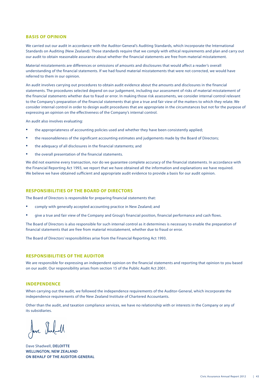#### **BASIS OF OPINION**

We carried out our audit in accordance with the Auditor-General's Auditing Standards, which incorporate the International Standards on Auditing (New Zealand). Those standards require that we comply with ethical requirements and plan and carry out our audit to obtain reasonable assurance about whether the financial statements are free from material misstatement.

Material misstatements are differences or omissions of amounts and disclosures that would affect a reader's overall understanding of the financial statements. If we had found material misstatements that were not corrected, we would have referred to them in our opinion.

An audit involves carrying out procedures to obtain audit evidence about the amounts and disclosures in the financial statements. The procedures selected depend on our judgement, including our assessment of risks of material misstatement of the financial statements whether due to fraud or error. In making those risk assessments, we consider internal control relevant to the Company's preparation of the financial statements that give a true and fair view of the matters to which they relate. We consider internal control in order to design audit procedures that are appropriate in the circumstances but not for the purpose of expressing an opinion on the effectiveness of the Company's internal control.

An audit also involves evaluating:

- the appropriateness of accounting policies used and whether they have been consistently applied;
- the reasonableness of the significant accounting estimates and judgements made by the Board of Directors;
- the adequacy of all disclosures in the financial statements; and
- the overall presentation of the financial statements.

We did not examine every transaction, nor do we guarantee complete accuracy of the financial statements. In accordance with the Financial Reporting Act 1993, we report that we have obtained all the information and explanations we have required. We believe we have obtained sufficient and appropriate audit evidence to provide a basis for our audit opinion.

#### **RESPONSIBILITIES OF THE BOARD OF DIRECTORS**

The Board of Directors is responsible for preparing financial statements that:

- comply with generally accepted accounting practice in New Zealand; and
- give a true and fair view of the Company and Group's financial position, financial performance and cash flows.

The Board of Directors is also responsible for such internal control as it determines is necessary to enable the preparation of financial statements that are free from material misstatement, whether due to fraud or error.

The Board of Directors' responsibilities arise from the Financial Reporting Act 1993.

#### **RESPONSIBILITIES OF THE AUDITOR**

We are responsible for expressing an independent opinion on the financial statements and reporting that opinion to you based on our audit. Our responsibility arises from section 15 of the Public Audit Act 2001.

#### **INDEPENDENCE**

When carrying out the audit, we followed the independence requirements of the Auditor-General, which incorporate the independence requirements of the New Zealand Institute of Chartered Accountants.

Other than the audit, and taxation compliance services, we have no relationship with or interests in the Company or any of its subsidiaries.

Jave Shabell

Dave Shadwell, **DELOITTE WELLINGTON, NEW ZEALAND ON BEHALF OF THE AUDITOR-GENERAL**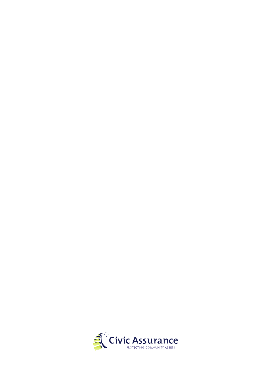